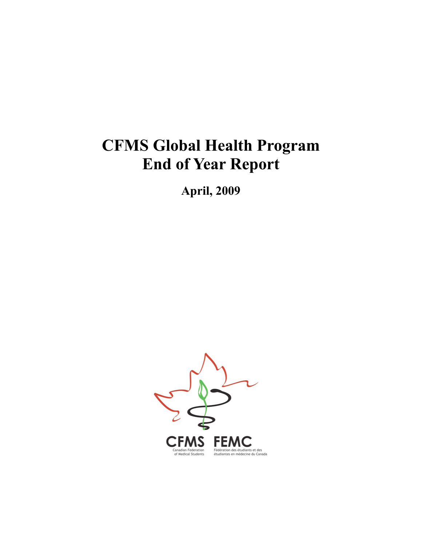# **CFMS Global Health Program End of Year Report**

**April, 2009**

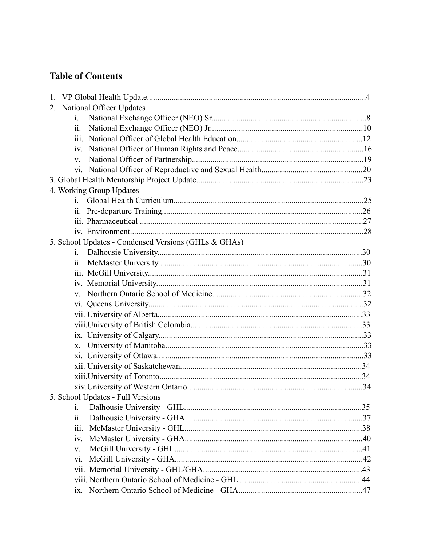# **Table of Contents**

| 2. National Officer Updates                          |  |
|------------------------------------------------------|--|
| $\mathbf{i}$ .                                       |  |
| $\overline{\mathbf{u}}$ .                            |  |
| 111.                                                 |  |
|                                                      |  |
| $V_{-}$                                              |  |
|                                                      |  |
|                                                      |  |
| 4. Working Group Updates                             |  |
|                                                      |  |
|                                                      |  |
|                                                      |  |
|                                                      |  |
| 5. School Updates - Condensed Versions (GHLs & GHAs) |  |
| $\mathbf{i}$ .                                       |  |
| 11.                                                  |  |
|                                                      |  |
|                                                      |  |
| $\mathbf{V}$                                         |  |
|                                                      |  |
|                                                      |  |
|                                                      |  |
|                                                      |  |
|                                                      |  |
|                                                      |  |
|                                                      |  |
|                                                      |  |
|                                                      |  |
| 5. School Updates - Full Versions                    |  |
| i.                                                   |  |
| $\ddot{\mathbf{u}}$ .                                |  |
| iii.                                                 |  |
| iv.                                                  |  |
| V.                                                   |  |
| vi.                                                  |  |
|                                                      |  |
|                                                      |  |
| 1X.                                                  |  |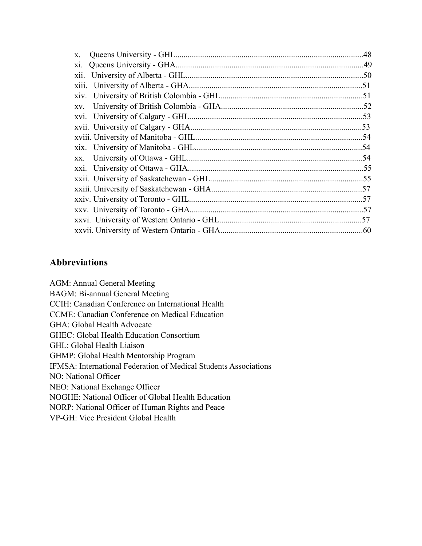| X.    |     |
|-------|-----|
| X1.   |     |
| xii.  |     |
| X111. |     |
| XIV.  |     |
| XV.   |     |
| XV1.  |     |
|       |     |
|       |     |
|       |     |
| XX.   |     |
|       |     |
|       |     |
|       |     |
|       | .57 |
|       |     |
|       |     |
|       |     |

# **Abbreviations**

AGM: Annual General Meeting BAGM: Bi-annual General Meeting CCIH: Canadian Conference on International Health CCME: Canadian Conference on Medical Education GHA: Global Health Advocate GHEC: Global Health Education Consortium GHL: Global Health Liaison GHMP: Global Health Mentorship Program IFMSA: International Federation of Medical Students Associations NO: National Officer NEO: National Exchange Officer NOGHE: National Officer of Global Health Education NORP: National Officer of Human Rights and Peace VP-GH: Vice President Global Health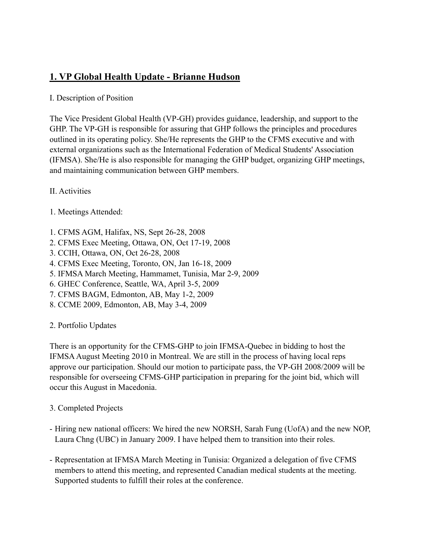# **1. VP Global Health Update - Brianne Hudson**

# I. Description of Position

The Vice President Global Health (VP-GH) provides guidance, leadership, and support to the GHP. The VP-GH is responsible for assuring that GHP follows the principles and procedures outlined in its operating policy. She/He represents the GHP to the CFMS executive and with external organizations such as the International Federation of Medical Students' Association (IFMSA). She/He is also responsible for managing the GHP budget, organizing GHP meetings, and maintaining communication between GHP members.

II. Activities

- 1. Meetings Attended:
- 1. CFMS AGM, Halifax, NS, Sept 26-28, 2008
- 2. CFMS Exec Meeting, Ottawa, ON, Oct 17-19, 2008
- 3. CCIH, Ottawa, ON, Oct 26-28, 2008
- 4. CFMS Exec Meeting, Toronto, ON, Jan 16-18, 2009
- 5. IFMSA March Meeting, Hammamet, Tunisia, Mar 2-9, 2009
- 6. GHEC Conference, Seattle, WA, April 3-5, 2009
- 7. CFMS BAGM, Edmonton, AB, May 1-2, 2009
- 8. CCME 2009, Edmonton, AB, May 3-4, 2009
- 2. Portfolio Updates

There is an opportunity for the CFMS-GHP to join IFMSA-Quebec in bidding to host the IFMSA August Meeting 2010 in Montreal. We are still in the process of having local reps approve our participation. Should our motion to participate pass, the VP-GH 2008/2009 will be responsible for overseeing CFMS-GHP participation in preparing for the joint bid, which will occur this August in Macedonia.

- 3. Completed Projects
- Hiring new national officers: We hired the new NORSH, Sarah Fung (UofA) and the new NOP, Laura Chng (UBC) in January 2009. I have helped them to transition into their roles.
- Representation at IFMSA March Meeting in Tunisia: Organized a delegation of five CFMS members to attend this meeting, and represented Canadian medical students at the meeting. Supported students to fulfill their roles at the conference.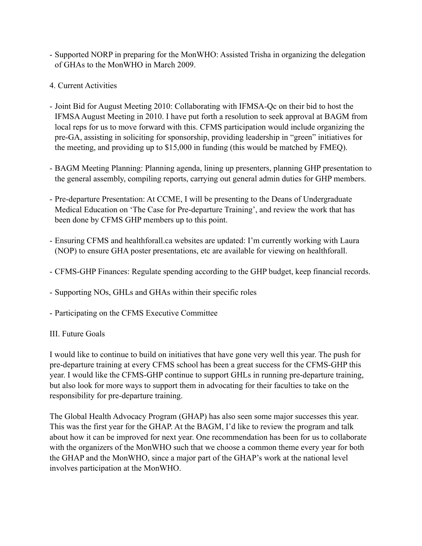- Supported NORP in preparing for the MonWHO: Assisted Trisha in organizing the delegation of GHAs to the MonWHO in March 2009.
- 4. Current Activities
- Joint Bid for August Meeting 2010: Collaborating with IFMSA-Qc on their bid to host the IFMSA August Meeting in 2010. I have put forth a resolution to seek approval at BAGM from local reps for us to move forward with this. CFMS participation would include organizing the pre-GA, assisting in soliciting for sponsorship, providing leadership in "green" initiatives for the meeting, and providing up to \$15,000 in funding (this would be matched by FMEQ).
- BAGM Meeting Planning: Planning agenda, lining up presenters, planning GHP presentation to the general assembly, compiling reports, carrying out general admin duties for GHP members.
- Pre-departure Presentation: At CCME, I will be presenting to the Deans of Undergraduate Medical Education on 'The Case for Pre-departure Training', and review the work that has been done by CFMS GHP members up to this point.
- Ensuring CFMS and healthforall.ca websites are updated: I'm currently working with Laura (NOP) to ensure GHA poster presentations, etc are available for viewing on healthforall.
- CFMS-GHP Finances: Regulate spending according to the GHP budget, keep financial records.
- Supporting NOs, GHLs and GHAs within their specific roles
- Participating on the CFMS Executive Committee

#### III. Future Goals

I would like to continue to build on initiatives that have gone very well this year. The push for pre-departure training at every CFMS school has been a great success for the CFMS-GHP this year. I would like the CFMS-GHP continue to support GHLs in running pre-departure training, but also look for more ways to support them in advocating for their faculties to take on the responsibility for pre-departure training.

The Global Health Advocacy Program (GHAP) has also seen some major successes this year. This was the first year for the GHAP. At the BAGM, I'd like to review the program and talk about how it can be improved for next year. One recommendation has been for us to collaborate with the organizers of the MonWHO such that we choose a common theme every year for both the GHAP and the MonWHO, since a major part of the GHAP's work at the national level involves participation at the MonWHO.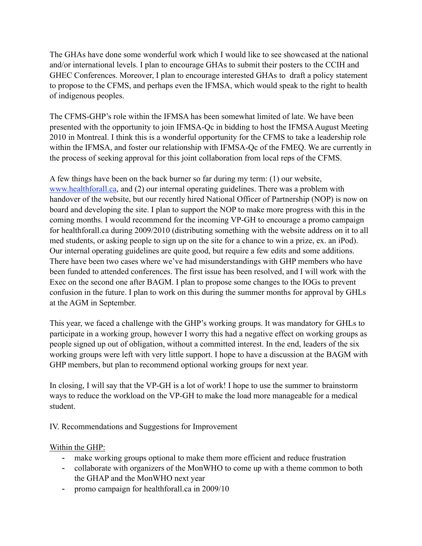The GHAs have done some wonderful work which I would like to see showcased at the national and/or international levels. I plan to encourage GHAs to submit their posters to the CCIH and GHEC Conferences. Moreover, I plan to encourage interested GHAs to draft a policy statement to propose to the CFMS, and perhaps even the IFMSA, which would speak to the right to health of indigenous peoples.

The CFMS-GHP's role within the IFMSA has been somewhat limited of late. We have been presented with the opportunity to join IFMSA-Qc in bidding to host the IFMSA August Meeting 2010 in Montreal. I think this is a wonderful opportunity for the CFMS to take a leadership role within the IFMSA, and foster our relationship with IFMSA-Qc of the FMEQ. We are currently in the process of seeking approval for this joint collaboration from local reps of the CFMS.

A few things have been on the back burner so far during my term: (1) our website, [www.healthforall.ca](http://www.healthforall.ca), and (2) our internal operating guidelines. There was a problem with handover of the website, but our recently hired National Officer of Partnership (NOP) is now on board and developing the site. I plan to support the NOP to make more progress with this in the coming months. I would recommend for the incoming VP-GH to encourage a promo campaign for healthforall.ca during 2009/2010 (distributing something with the website address on it to all med students, or asking people to sign up on the site for a chance to win a prize, ex. an iPod). Our internal operating guidelines are quite good, but require a few edits and some additions. There have been two cases where we've had misunderstandings with GHP members who have been funded to attended conferences. The first issue has been resolved, and I will work with the Exec on the second one after BAGM. I plan to propose some changes to the IOGs to prevent confusion in the future. I plan to work on this during the summer months for approval by GHLs at the AGM in September.

This year, we faced a challenge with the GHP's working groups. It was mandatory for GHLs to participate in a working group, however I worry this had a negative effect on working groups as people signed up out of obligation, without a committed interest. In the end, leaders of the six working groups were left with very little support. I hope to have a discussion at the BAGM with GHP members, but plan to recommend optional working groups for next year.

In closing, I will say that the VP-GH is a lot of work! I hope to use the summer to brainstorm ways to reduce the workload on the VP-GH to make the load more manageable for a medical student.

IV. Recommendations and Suggestions for Improvement

# Within the GHP:

- make working groups optional to make them more efficient and reduce frustration
- collaborate with organizers of the MonWHO to come up with a theme common to both the GHAP and the MonWHO next year
- promo campaign for healthforall.ca in 2009/10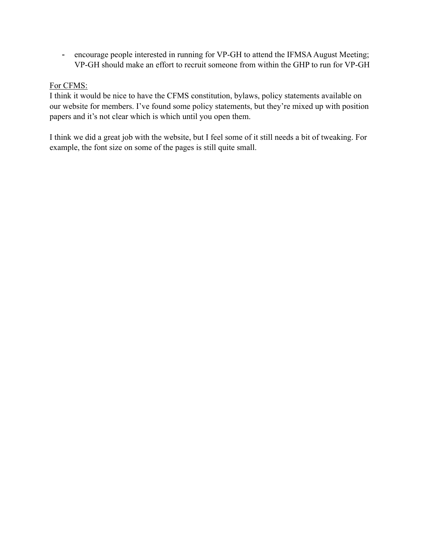- encourage people interested in running for VP-GH to attend the IFMSA August Meeting; VP-GH should make an effort to recruit someone from within the GHP to run for VP-GH

#### For CFMS:

I think it would be nice to have the CFMS constitution, bylaws, policy statements available on our website for members. I've found some policy statements, but they're mixed up with position papers and it's not clear which is which until you open them.

I think we did a great job with the website, but I feel some of it still needs a bit of tweaking. For example, the font size on some of the pages is still quite small.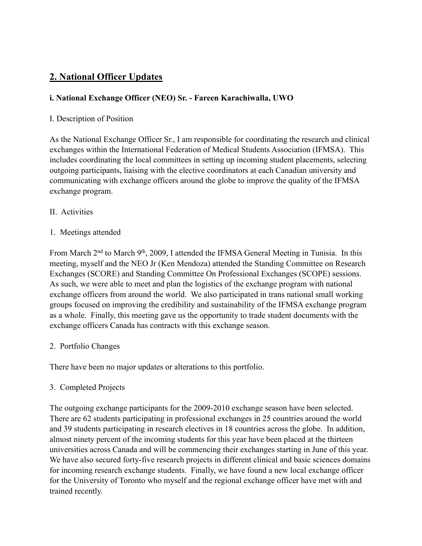# **2. National Officer Updates**

# **i. National Exchange Officer (NEO) Sr. - Fareen Karachiwalla, UWO**

#### I. Description of Position

As the National Exchange Officer Sr., I am responsible for coordinating the research and clinical exchanges within the International Federation of Medical Students Association (IFMSA). This includes coordinating the local committees in setting up incoming student placements, selecting outgoing participants, liaising with the elective coordinators at each Canadian university and communicating with exchange officers around the globe to improve the quality of the IFMSA exchange program.

- II. Activities
- 1. Meetings attended

From March 2<sup>nd</sup> to March 9<sup>th</sup>, 2009, I attended the IFMSA General Meeting in Tunisia. In this meeting, myself and the NEO Jr (Ken Mendoza) attended the Standing Committee on Research Exchanges (SCORE) and Standing Committee On Professional Exchanges (SCOPE) sessions. As such, we were able to meet and plan the logistics of the exchange program with national exchange officers from around the world. We also participated in trans national small working groups focused on improving the credibility and sustainability of the IFMSA exchange program as a whole. Finally, this meeting gave us the opportunity to trade student documents with the exchange officers Canada has contracts with this exchange season.

2. Portfolio Changes

There have been no major updates or alterations to this portfolio.

3. Completed Projects

The outgoing exchange participants for the 2009-2010 exchange season have been selected. There are 62 students participating in professional exchanges in 25 countries around the world and 39 students participating in research electives in 18 countries across the globe. In addition, almost ninety percent of the incoming students for this year have been placed at the thirteen universities across Canada and will be commencing their exchanges starting in June of this year. We have also secured forty-five research projects in different clinical and basic sciences domains for incoming research exchange students. Finally, we have found a new local exchange officer for the University of Toronto who myself and the regional exchange officer have met with and trained recently.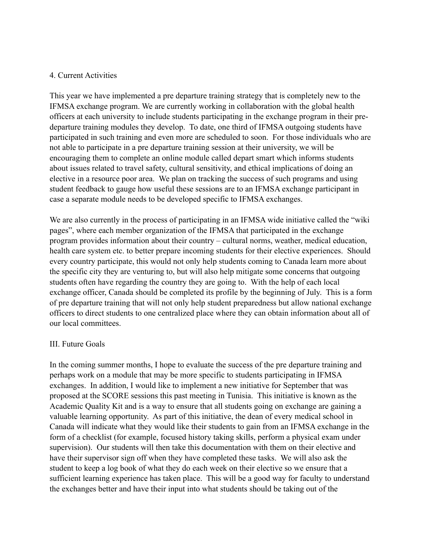#### 4. Current Activities

This year we have implemented a pre departure training strategy that is completely new to the IFMSA exchange program. We are currently working in collaboration with the global health officers at each university to include students participating in the exchange program in their predeparture training modules they develop. To date, one third of IFMSA outgoing students have participated in such training and even more are scheduled to soon. For those individuals who are not able to participate in a pre departure training session at their university, we will be encouraging them to complete an online module called depart smart which informs students about issues related to travel safety, cultural sensitivity, and ethical implications of doing an elective in a resource poor area. We plan on tracking the success of such programs and using student feedback to gauge how useful these sessions are to an IFMSA exchange participant in case a separate module needs to be developed specific to IFMSA exchanges.

We are also currently in the process of participating in an IFMSA wide initiative called the "wiki pages", where each member organization of the IFMSA that participated in the exchange program provides information about their country – cultural norms, weather, medical education, health care system etc. to better prepare incoming students for their elective experiences. Should every country participate, this would not only help students coming to Canada learn more about the specific city they are venturing to, but will also help mitigate some concerns that outgoing students often have regarding the country they are going to. With the help of each local exchange officer, Canada should be completed its profile by the beginning of July. This is a form of pre departure training that will not only help student preparedness but allow national exchange officers to direct students to one centralized place where they can obtain information about all of our local committees.

#### III. Future Goals

In the coming summer months, I hope to evaluate the success of the pre departure training and perhaps work on a module that may be more specific to students participating in IFMSA exchanges. In addition, I would like to implement a new initiative for September that was proposed at the SCORE sessions this past meeting in Tunisia. This initiative is known as the Academic Quality Kit and is a way to ensure that all students going on exchange are gaining a valuable learning opportunity. As part of this initiative, the dean of every medical school in Canada will indicate what they would like their students to gain from an IFMSA exchange in the form of a checklist (for example, focused history taking skills, perform a physical exam under supervision). Our students will then take this documentation with them on their elective and have their supervisor sign off when they have completed these tasks. We will also ask the student to keep a log book of what they do each week on their elective so we ensure that a sufficient learning experience has taken place. This will be a good way for faculty to understand the exchanges better and have their input into what students should be taking out of the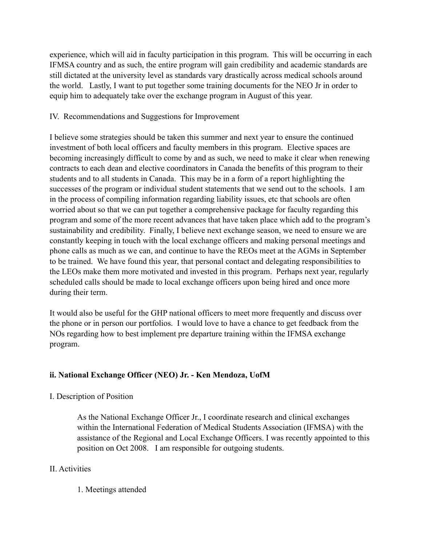experience, which will aid in faculty participation in this program. This will be occurring in each IFMSA country and as such, the entire program will gain credibility and academic standards are still dictated at the university level as standards vary drastically across medical schools around the world. Lastly, I want to put together some training documents for the NEO Jr in order to equip him to adequately take over the exchange program in August of this year.

#### IV. Recommendations and Suggestions for Improvement

I believe some strategies should be taken this summer and next year to ensure the continued investment of both local officers and faculty members in this program. Elective spaces are becoming increasingly difficult to come by and as such, we need to make it clear when renewing contracts to each dean and elective coordinators in Canada the benefits of this program to their students and to all students in Canada. This may be in a form of a report highlighting the successes of the program or individual student statements that we send out to the schools. I am in the process of compiling information regarding liability issues, etc that schools are often worried about so that we can put together a comprehensive package for faculty regarding this program and some of the more recent advances that have taken place which add to the program's sustainability and credibility. Finally, I believe next exchange season, we need to ensure we are constantly keeping in touch with the local exchange officers and making personal meetings and phone calls as much as we can, and continue to have the REOs meet at the AGMs in September to be trained. We have found this year, that personal contact and delegating responsibilities to the LEOs make them more motivated and invested in this program. Perhaps next year, regularly scheduled calls should be made to local exchange officers upon being hired and once more during their term.

It would also be useful for the GHP national officers to meet more frequently and discuss over the phone or in person our portfolios. I would love to have a chance to get feedback from the NOs regarding how to best implement pre departure training within the IFMSA exchange program.

# **ii. National Exchange Officer (NEO) Jr. - Ken Mendoza, UofM**

# I. Description of Position

As the National Exchange Officer Jr., I coordinate research and clinical exchanges within the International Federation of Medical Students Association (IFMSA) with the assistance of the Regional and Local Exchange Officers. I was recently appointed to this position on Oct 2008. I am responsible for outgoing students.

# II. Activities

1. Meetings attended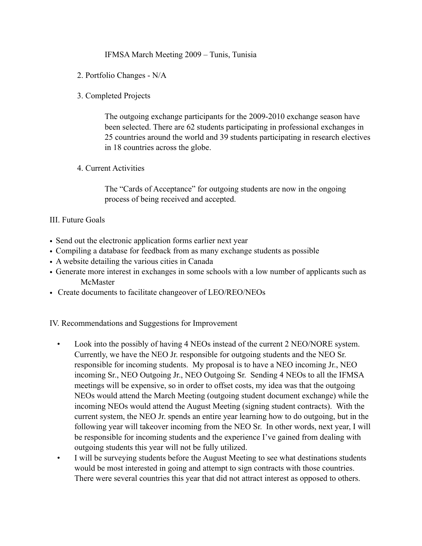#### IFMSA March Meeting 2009 – Tunis, Tunisia

- 2. Portfolio Changes N/A
- 3. Completed Projects

The outgoing exchange participants for the 2009-2010 exchange season have been selected. There are 62 students participating in professional exchanges in 25 countries around the world and 39 students participating in research electives in 18 countries across the globe.

4. Current Activities

The "Cards of Acceptance" for outgoing students are now in the ongoing process of being received and accepted.

#### III. Future Goals

- Send out the electronic application forms earlier next year
- Compiling a database for feedback from as many exchange students as possible
- A website detailing the various cities in Canada
- Generate more interest in exchanges in some schools with a low number of applicants such as McMaster
- Create documents to facilitate changeover of LEO/REO/NEOs

IV. Recommendations and Suggestions for Improvement

- Look into the possibly of having 4 NEOs instead of the current 2 NEO/NORE system. Currently, we have the NEO Jr. responsible for outgoing students and the NEO Sr. responsible for incoming students. My proposal is to have a NEO incoming Jr., NEO incoming Sr., NEO Outgoing Jr., NEO Outgoing Sr. Sending 4 NEOs to all the IFMSA meetings will be expensive, so in order to offset costs, my idea was that the outgoing NEOs would attend the March Meeting (outgoing student document exchange) while the incoming NEOs would attend the August Meeting (signing student contracts). With the current system, the NEO Jr. spends an entire year learning how to do outgoing, but in the following year will takeover incoming from the NEO Sr. In other words, next year, I will be responsible for incoming students and the experience I've gained from dealing with outgoing students this year will not be fully utilized.
- I will be surveying students before the August Meeting to see what destinations students would be most interested in going and attempt to sign contracts with those countries. There were several countries this year that did not attract interest as opposed to others.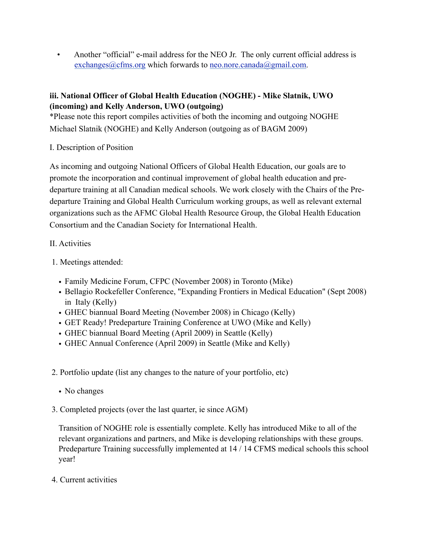• Another "official" e-mail address for the NEO Jr. The only current official address is exchanges $@c$ fms.org which forwards to neo.nore.canada $@g$ gmail.com.

# **iii. National Officer of Global Health Education (NOGHE) - Mike Slatnik, UWO (incoming) and Kelly Anderson, UWO (outgoing)**

\*Please note this report compiles activities of both the incoming and outgoing NOGHE Michael Slatnik (NOGHE) and Kelly Anderson (outgoing as of BAGM 2009)

# I. Description of Position

As incoming and outgoing National Officers of Global Health Education, our goals are to promote the incorporation and continual improvement of global health education and predeparture training at all Canadian medical schools. We work closely with the Chairs of the Predeparture Training and Global Health Curriculum working groups, as well as relevant external organizations such as the AFMC Global Health Resource Group, the Global Health Education Consortium and the Canadian Society for International Health.

# II. Activities

- 1. Meetings attended:
	- Family Medicine Forum, CFPC (November 2008) in Toronto (Mike)
	- Bellagio Rockefeller Conference, "Expanding Frontiers in Medical Education" (Sept 2008) in Italy (Kelly)
	- GHEC biannual Board Meeting (November 2008) in Chicago (Kelly)
	- GET Ready! Predeparture Training Conference at UWO (Mike and Kelly)
	- GHEC biannual Board Meeting (April 2009) in Seattle (Kelly)
	- GHEC Annual Conference (April 2009) in Seattle (Mike and Kelly)
- 2. Portfolio update (list any changes to the nature of your portfolio, etc)
	- No changes
- 3. Completed projects (over the last quarter, ie since AGM)

Transition of NOGHE role is essentially complete. Kelly has introduced Mike to all of the relevant organizations and partners, and Mike is developing relationships with these groups. Predeparture Training successfully implemented at 14 / 14 CFMS medical schools this school year!

4. Current activities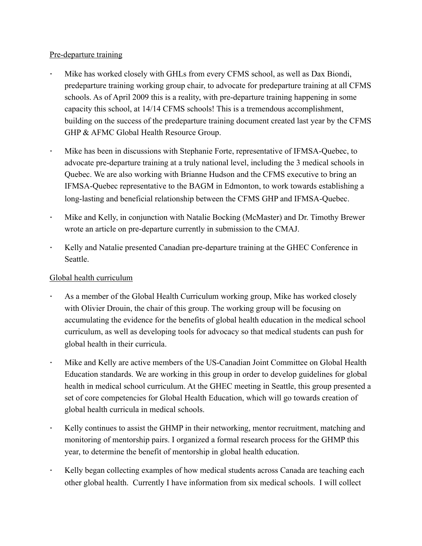#### Pre-departure training

- Mike has worked closely with GHLs from every CFMS school, as well as Dax Biondi, predeparture training working group chair, to advocate for predeparture training at all CFMS schools. As of April 2009 this is a reality, with pre-departure training happening in some capacity this school, at 14/14 CFMS schools! This is a tremendous accomplishment, building on the success of the predeparture training document created last year by the CFMS GHP & AFMC Global Health Resource Group.
- *!* Mike has been in discussions with Stephanie Forte, representative of IFMSA-Quebec, to advocate pre-departure training at a truly national level, including the 3 medical schools in Quebec. We are also working with Brianne Hudson and the CFMS executive to bring an IFMSA-Quebec representative to the BAGM in Edmonton, to work towards establishing a long-lasting and beneficial relationship between the CFMS GHP and IFMSA-Quebec.
- *!* Mike and Kelly, in conjunction with Natalie Bocking (McMaster) and Dr. Timothy Brewer wrote an article on pre-departure currently in submission to the CMAJ.
- Kelly and Natalie presented Canadian pre-departure training at the GHEC Conference in Seattle.

# Global health curriculum

- *!* As a member of the Global Health Curriculum working group, Mike has worked closely with Olivier Drouin, the chair of this group. The working group will be focusing on accumulating the evidence for the benefits of global health education in the medical school curriculum, as well as developing tools for advocacy so that medical students can push for global health in their curricula.
- *!* Mike and Kelly are active members of the US-Canadian Joint Committee on Global Health Education standards. We are working in this group in order to develop guidelines for global health in medical school curriculum. At the GHEC meeting in Seattle, this group presented a set of core competencies for Global Health Education, which will go towards creation of global health curricula in medical schools.
- *!* Kelly continues to assist the GHMP in their networking, mentor recruitment, matching and monitoring of mentorship pairs. I organized a formal research process for the GHMP this year, to determine the benefit of mentorship in global health education.
- *!* Kelly began collecting examples of how medical students across Canada are teaching each other global health. Currently I have information from six medical schools. I will collect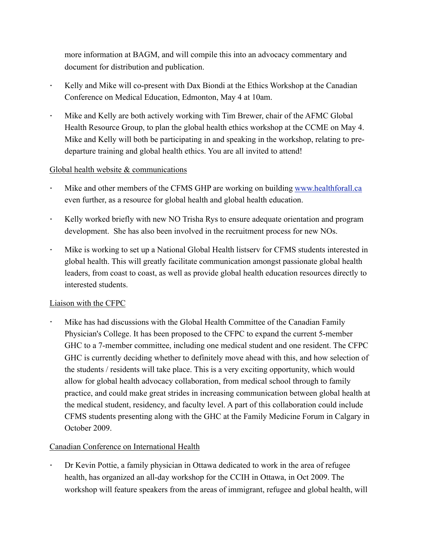more information at BAGM, and will compile this into an advocacy commentary and document for distribution and publication.

- *!* Kelly and Mike will co-present with Dax Biondi at the Ethics Workshop at the Canadian Conference on Medical Education, Edmonton, May 4 at 10am.
- *!* Mike and Kelly are both actively working with Tim Brewer, chair of the AFMC Global Health Resource Group, to plan the global health ethics workshop at the CCME on May 4. Mike and Kelly will both be participating in and speaking in the workshop, relating to predeparture training and global health ethics. You are all invited to attend!

# Global health website & communications

- Mike and other members of the CFMS GHP are working on building [www.healthforall.ca](http://www.healthforall.ca) even further, as a resource for global health and global health education.
- Kelly worked briefly with new NO Trisha Rys to ensure adequate orientation and program development. She has also been involved in the recruitment process for new NOs.
- *!* Mike is working to set up a National Global Health listserv for CFMS students interested in global health. This will greatly facilitate communication amongst passionate global health leaders, from coast to coast, as well as provide global health education resources directly to interested students.

#### Liaison with the CFPC

*!* Mike has had discussions with the Global Health Committee of the Canadian Family Physician's College. It has been proposed to the CFPC to expand the current 5-member GHC to a 7-member committee, including one medical student and one resident. The CFPC GHC is currently deciding whether to definitely move ahead with this, and how selection of the students / residents will take place. This is a very exciting opportunity, which would allow for global health advocacy collaboration, from medical school through to family practice, and could make great strides in increasing communication between global health at the medical student, residency, and faculty level. A part of this collaboration could include CFMS students presenting along with the GHC at the Family Medicine Forum in Calgary in October 2009.

# Canadian Conference on International Health

*!* Dr Kevin Pottie, a family physician in Ottawa dedicated to work in the area of refugee health, has organized an all-day workshop for the CCIH in Ottawa, in Oct 2009. The workshop will feature speakers from the areas of immigrant, refugee and global health, will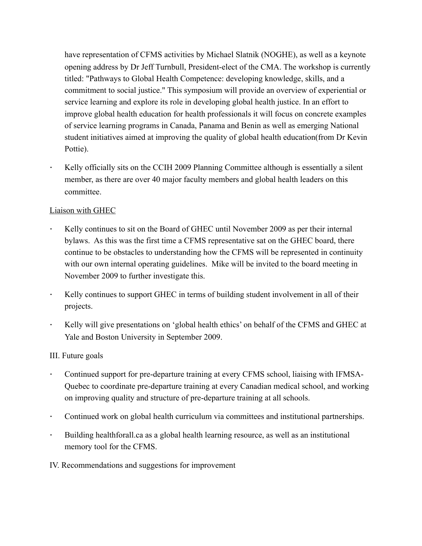have representation of CFMS activities by Michael Slatnik (NOGHE), as well as a keynote opening address by Dr Jeff Turnbull, President-elect of the CMA. The workshop is currently titled: "Pathways to Global Health Competence: developing knowledge, skills, and a commitment to social justice." This symposium will provide an overview of experiential or service learning and explore its role in developing global health justice. In an effort to improve global health education for health professionals it will focus on concrete examples of service learning programs in Canada, Panama and Benin as well as emerging National student initiatives aimed at improving the quality of global health education(from Dr Kevin Pottie).

Kelly officially sits on the CCIH 2009 Planning Committee although is essentially a silent member, as there are over 40 major faculty members and global health leaders on this committee.

# Liaison with GHEC

- *!* Kelly continues to sit on the Board of GHEC until November 2009 as per their internal bylaws. As this was the first time a CFMS representative sat on the GHEC board, there continue to be obstacles to understanding how the CFMS will be represented in continuity with our own internal operating guidelines. Mike will be invited to the board meeting in November 2009 to further investigate this.
- Kelly continues to support GHEC in terms of building student involvement in all of their projects.
- *!* Kelly will give presentations on 'global health ethics' on behalf of the CFMS and GHEC at Yale and Boston University in September 2009.

#### III. Future goals

- *!* Continued support for pre-departure training at every CFMS school, liaising with IFMSA-Quebec to coordinate pre-departure training at every Canadian medical school, and working on improving quality and structure of pre-departure training at all schools.
- *!* Continued work on global health curriculum via committees and institutional partnerships.
- *!* Building healthforall.ca as a global health learning resource, as well as an institutional memory tool for the CFMS.
- IV. Recommendations and suggestions for improvement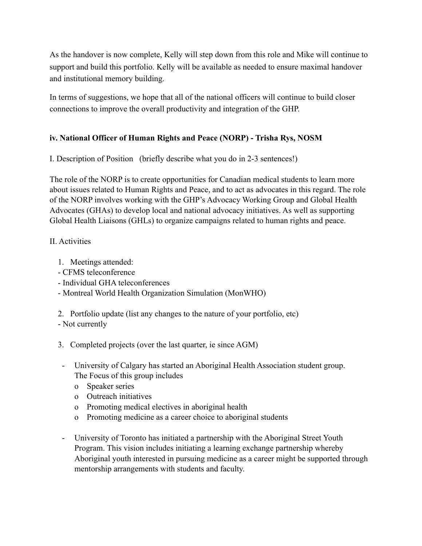As the handover is now complete, Kelly will step down from this role and Mike will continue to support and build this portfolio. Kelly will be available as needed to ensure maximal handover and institutional memory building.

In terms of suggestions, we hope that all of the national officers will continue to build closer connections to improve the overall productivity and integration of the GHP.

# **iv. National Officer of Human Rights and Peace (NORP) - Trisha Rys, NOSM**

I. Description of Position (briefly describe what you do in 2-3 sentences!)

The role of the NORP is to create opportunities for Canadian medical students to learn more about issues related to Human Rights and Peace, and to act as advocates in this regard. The role of the NORP involves working with the GHP's Advocacy Working Group and Global Health Advocates (GHAs) to develop local and national advocacy initiatives. As well as supporting Global Health Liaisons (GHLs) to organize campaigns related to human rights and peace.

# II. Activities

- 1. Meetings attended:
- CFMS teleconference
- Individual GHA teleconferences
- Montreal World Health Organization Simulation (MonWHO)

2. Portfolio update (list any changes to the nature of your portfolio, etc)

- Not currently
- 3. Completed projects (over the last quarter, ie since AGM)
- University of Calgary has started an Aboriginal Health Association student group. The Focus of this group includes
	- o Speaker series
	- o Outreach initiatives
	- o Promoting medical electives in aboriginal health
	- o Promoting medicine as a career choice to aboriginal students
- University of Toronto has initiated a partnership with the Aboriginal Street Youth Program. This vision includes initiating a learning exchange partnership whereby Aboriginal youth interested in pursuing medicine as a career might be supported through mentorship arrangements with students and faculty.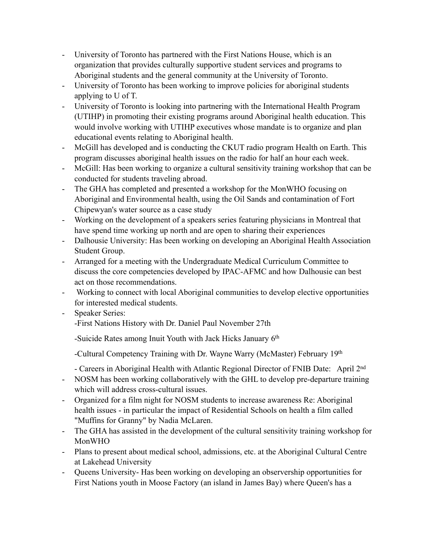- University of Toronto has partnered with the First Nations House, which is an organization that provides culturally supportive student services and programs to Aboriginal students and the general community at the University of Toronto.
- University of Toronto has been working to improve policies for aboriginal students applying to U of T.
- University of Toronto is looking into partnering with the International Health Program (UTIHP) in promoting their existing programs around Aboriginal health education. This would involve working with UTIHP executives whose mandate is to organize and plan educational events relating to Aboriginal health.
- McGill has developed and is conducting the CKUT radio program Health on Earth. This program discusses aboriginal health issues on the radio for half an hour each week.
- McGill: Has been working to organize a cultural sensitivity training workshop that can be conducted for students traveling abroad.
- The GHA has completed and presented a workshop for the MonWHO focusing on Aboriginal and Environmental health, using the Oil Sands and contamination of Fort Chipewyan's water source as a case study
- Working on the development of a speakers series featuring physicians in Montreal that have spend time working up north and are open to sharing their experiences
- Dalhousie University: Has been working on developing an Aboriginal Health Association Student Group.
- Arranged for a meeting with the Undergraduate Medical Curriculum Committee to discuss the core competencies developed by IPAC-AFMC and how Dalhousie can best act on those recommendations.
- Working to connect with local Aboriginal communities to develop elective opportunities for interested medical students.
- Speaker Series: -First Nations History with Dr. Daniel Paul November 27th

-Suicide Rates among Inuit Youth with Jack Hicks January 6<sup>th</sup>

-Cultural Competency Training with Dr. Wayne Warry (McMaster) February 19th

- Careers in Aboriginal Health with Atlantic Regional Director of FNIB Date: April 2nd

- NOSM has been working collaboratively with the GHL to develop pre-departure training which will address cross-cultural issues.
- Organized for a film night for NOSM students to increase awareness Re: Aboriginal health issues - in particular the impact of Residential Schools on health a film called "Muffins for Granny" by Nadia McLaren.
- The GHA has assisted in the development of the cultural sensitivity training workshop for MonWHO
- Plans to present about medical school, admissions, etc. at the Aboriginal Cultural Centre at Lakehead University
- Queens University- Has been working on developing an observership opportunities for First Nations youth in Moose Factory (an island in James Bay) where Queen's has a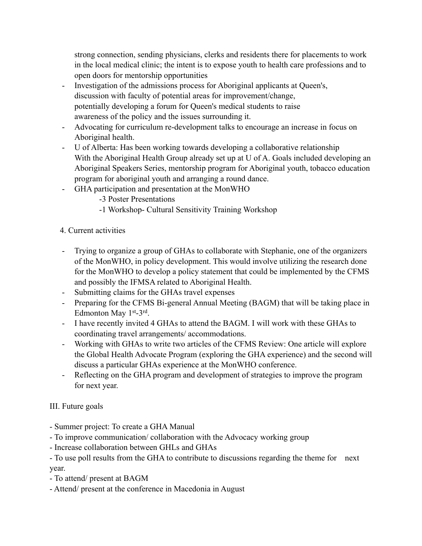strong connection, sending physicians, clerks and residents there for placements to work in the local medical clinic; the intent is to expose youth to health care professions and to open doors for mentorship opportunities

- Investigation of the admissions process for Aboriginal applicants at Queen's, discussion with faculty of potential areas for improvement/change, potentially developing a forum for Queen's medical students to raise awareness of the policy and the issues surrounding it.
- Advocating for curriculum re-development talks to encourage an increase in focus on Aboriginal health.
- U of Alberta: Has been working towards developing a collaborative relationship With the Aboriginal Health Group already set up at U of A. Goals included developing an Aboriginal Speakers Series, mentorship program for Aboriginal youth, tobacco education program for aboriginal youth and arranging a round dance.
- GHA participation and presentation at the MonWHO
	- -3 Poster Presentations
	- -1 Workshop- Cultural Sensitivity Training Workshop
- 4. Current activities
- Trying to organize a group of GHAs to collaborate with Stephanie, one of the organizers of the MonWHO, in policy development. This would involve utilizing the research done for the MonWHO to develop a policy statement that could be implemented by the CFMS and possibly the IFMSA related to Aboriginal Health.
- Submitting claims for the GHAs travel expenses
- Preparing for the CFMS Bi-general Annual Meeting (BAGM) that will be taking place in Edmonton May 1st-3rd.
- I have recently invited 4 GHAs to attend the BAGM. I will work with these GHAs to coordinating travel arrangements/ accommodations.
- Working with GHAs to write two articles of the CFMS Review: One article will explore the Global Health Advocate Program (exploring the GHA experience) and the second will discuss a particular GHAs experience at the MonWHO conference.
- Reflecting on the GHA program and development of strategies to improve the program for next year.

# III. Future goals

- Summer project: To create a GHA Manual
- To improve communication/ collaboration with the Advocacy working group
- Increase collaboration between GHLs and GHAs
- To use poll results from the GHA to contribute to discussions regarding the theme for next year.
- To attend/ present at BAGM
- Attend/ present at the conference in Macedonia in August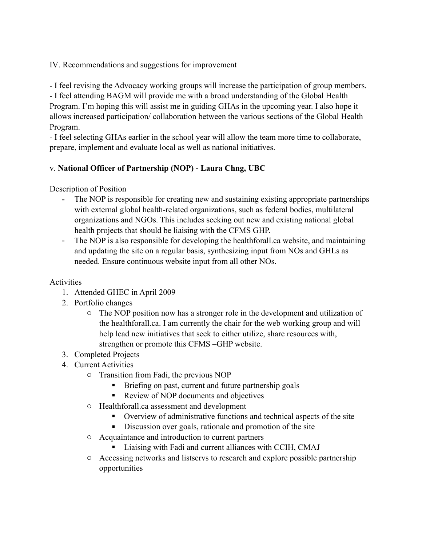IV. Recommendations and suggestions for improvement

- I feel revising the Advocacy working groups will increase the participation of group members. - I feel attending BAGM will provide me with a broad understanding of the Global Health Program. I'm hoping this will assist me in guiding GHAs in the upcoming year. I also hope it allows increased participation/ collaboration between the various sections of the Global Health

Program.

- I feel selecting GHAs earlier in the school year will allow the team more time to collaborate, prepare, implement and evaluate local as well as national initiatives.

# v. **National Officer of Partnership (NOP) - Laura Chng, UBC**

Description of Position

- The NOP is responsible for creating new and sustaining existing appropriate partnerships with external global health-related organizations, such as federal bodies, multilateral organizations and NGOs. This includes seeking out new and existing national global health projects that should be liaising with the CFMS GHP.
- The NOP is also responsible for developing the healthforall.ca website, and maintaining and updating the site on a regular basis, synthesizing input from NOs and GHLs as needed. Ensure continuous website input from all other NOs.

# **Activities**

- 1. Attended GHEC in April 2009
- 2. Portfolio changes
	- o The NOP position now has a stronger role in the development and utilization of the healthforall.ca. I am currently the chair for the web working group and will help lead new initiatives that seek to either utilize, share resources with, strengthen or promote this CFMS –GHP website.
- 3. Completed Projects
- 4. Current Activities
	- o Transition from Fadi, the previous NOP
		- ! Briefing on past, current and future partnership goals
		- ! Review of NOP documents and objectives
	- o Healthforall.ca assessment and development
		- ! Overview of administrative functions and technical aspects of the site
		- ! Discussion over goals, rationale and promotion of the site
	- o Acquaintance and introduction to current partners
		- ! Liaising with Fadi and current alliances with CCIH, CMAJ
	- o Accessing networks and listservs to research and explore possible partnership opportunities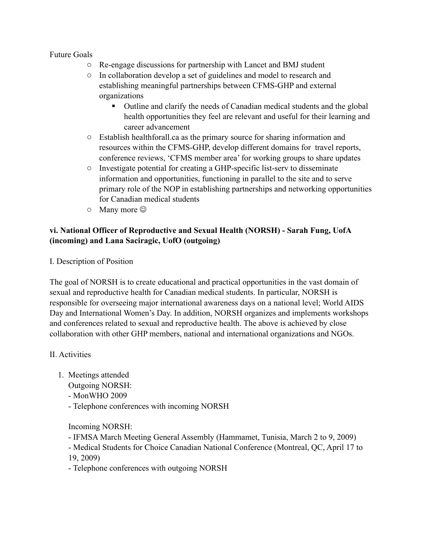#### Future Goals

- o Re-engage discussions for partnership with Lancet and BMJ student
- o In collaboration develop a set of guidelines and model to research and establishing meaningful partnerships between CFMS-GHP and external organizations
	- ! Outline and clarify the needs of Canadian medical students and the global health opportunities they feel are relevant and useful for their learning and career advancement
- o Establish healthforall.ca as the primary source for sharing information and resources within the CFMS-GHP, develop different domains for travel reports, conference reviews, 'CFMS member area' for working groups to share updates
- o Investigate potential for creating a GHP-specific list-serv to disseminate information and opportunities, functioning in parallel to the site and to serve primary role of the NOP in establishing partnerships and networking opportunities for Canadian medical students
- $\circ$  Many more  $\circledcirc$

# **vi. National Officer of Reproductive and Sexual Health (NORSH) - Sarah Fung, UofA (incoming) and Lana Saciragic, UofO (outgoing)**

I. Description of Position

The goal of NORSH is to create educational and practical opportunities in the vast domain of sexual and reproductive health for Canadian medical students. In particular, NORSH is responsible for overseeing major international awareness days on a national level; World AIDS Day and International Women's Day. In addition, NORSH organizes and implements workshops and conferences related to sexual and reproductive health. The above is achieved by close collaboration with other GHP members, national and international organizations and NGOs.

# II. Activities

- 1. Meetings attended
	- Outgoing NORSH:
	- MonWHO 2009
	- Telephone conferences with incoming NORSH

Incoming NORSH:

- IFMSA March Meeting General Assembly (Hammamet, Tunisia, March 2 to 9, 2009)
- Medical Students for Choice Canadian National Conference (Montreal, QC, April 17 to
- 19, 2009)
- Telephone conferences with outgoing NORSH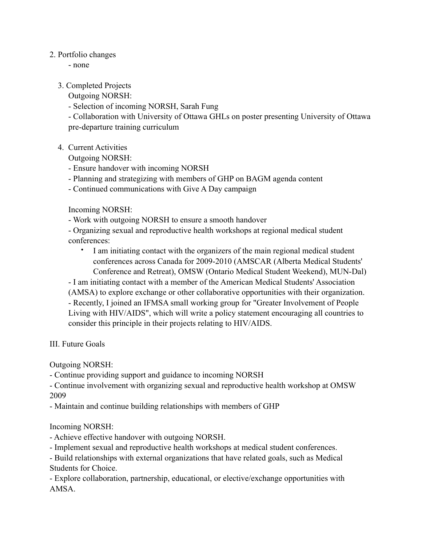#### 2. Portfolio changes

- none

#### 3. Completed Projects

Outgoing NORSH:

- Selection of incoming NORSH, Sarah Fung

- Collaboration with University of Ottawa GHLs on poster presenting University of Ottawa pre-departure training curriculum

4. Current Activities

Outgoing NORSH:

- Ensure handover with incoming NORSH
- Planning and strategizing with members of GHP on BAGM agenda content
- Continued communications with Give A Day campaign

Incoming NORSH:

- Work with outgoing NORSH to ensure a smooth handover

- Organizing sexual and reproductive health workshops at regional medical student conferences:

• I am initiating contact with the organizers of the main regional medical student conferences across Canada for 2009-2010 (AMSCAR (Alberta Medical Students' Conference and Retreat), OMSW (Ontario Medical Student Weekend), MUN-Dal)

- I am initiating contact with a member of the American Medical Students' Association (AMSA) to explore exchange or other collaborative opportunities with their organization. - Recently, I joined an IFMSA small working group for "Greater Involvement of People Living with HIV/AIDS", which will write a policy statement encouraging all countries to consider this principle in their projects relating to HIV/AIDS.

III. Future Goals

Outgoing NORSH:

- Continue providing support and guidance to incoming NORSH

- Continue involvement with organizing sexual and reproductive health workshop at OMSW 2009

- Maintain and continue building relationships with members of GHP

Incoming NORSH:

- Achieve effective handover with outgoing NORSH.

- Implement sexual and reproductive health workshops at medical student conferences.

- Build relationships with external organizations that have related goals, such as Medical Students for Choice.

- Explore collaboration, partnership, educational, or elective/exchange opportunities with AMSA.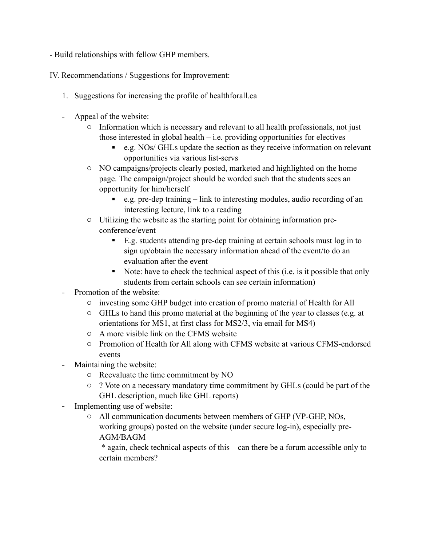- Build relationships with fellow GHP members.

IV. Recommendations / Suggestions for Improvement:

- 1. Suggestions for increasing the profile of healthforall.ca
- Appeal of the website:
	- o Information which is necessary and relevant to all health professionals, not just those interested in global health  $-$  i.e. providing opportunities for electives
		- e.g. NOs/ GHLs update the section as they receive information on relevant opportunities via various list-servs
	- o NO campaigns/projects clearly posted, marketed and highlighted on the home page. The campaign/project should be worded such that the students sees an opportunity for him/herself
		- ! e.g. pre-dep training link to interesting modules, audio recording of an interesting lecture, link to a reading
	- o Utilizing the website as the starting point for obtaining information preconference/event
		- ! E.g. students attending pre-dep training at certain schools must log in to sign up/obtain the necessary information ahead of the event/to do an evaluation after the event
		- ! Note: have to check the technical aspect of this (i.e. is it possible that only students from certain schools can see certain information)
- Promotion of the website:
	- o investing some GHP budget into creation of promo material of Health for All
	- o GHLs to hand this promo material at the beginning of the year to classes (e.g. at orientations for MS1, at first class for MS2/3, via email for MS4)
	- o A more visible link on the CFMS website
	- o Promotion of Health for All along with CFMS website at various CFMS-endorsed events
- Maintaining the website:
	- o Reevaluate the time commitment by NO
	- o ? Vote on a necessary mandatory time commitment by GHLs (could be part of the GHL description, much like GHL reports)
- Implementing use of website:
	- o All communication documents between members of GHP (VP-GHP, NOs, working groups) posted on the website (under secure log-in), especially pre-AGM/BAGM

 \* again, check technical aspects of this – can there be a forum accessible only to certain members?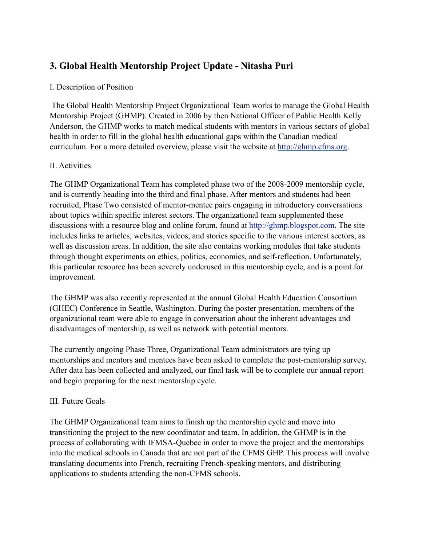# **3. Global Health Mentorship Project Update - Nitasha Puri**

# I. Description of Position

 The Global Health Mentorship Project Organizational Team works to manage the Global Health Mentorship Project (GHMP). Created in 2006 by then National Officer of Public Health Kelly Anderson, the GHMP works to match medical students with mentors in various sectors of global health in order to fill in the global health educational gaps within the Canadian medical curriculum. For a more detailed overview, please visit the website at [http://ghmp.cfms.org.](http://ghmp.cfms.org/)

# II. Activities

The GHMP Organizational Team has completed phase two of the 2008-2009 mentorship cycle, and is currently heading into the third and final phase. After mentors and students had been recruited, Phase Two consisted of mentor-mentee pairs engaging in introductory conversations about topics within specific interest sectors. The organizational team supplemented these discussions with a resource blog and online forum, found at [http://ghmp.blogspot.com.](http://ghmp.blogspot.com/) The site includes links to articles, websites, videos, and stories specific to the various interest sectors, as well as discussion areas. In addition, the site also contains working modules that take students through thought experiments on ethics, politics, economics, and self-reflection. Unfortunately, this particular resource has been severely underused in this mentorship cycle, and is a point for improvement.

The GHMP was also recently represented at the annual Global Health Education Consortium (GHEC) Conference in Seattle, Washington. During the poster presentation, members of the organizational team were able to engage in conversation about the inherent advantages and disadvantages of mentorship, as well as network with potential mentors.

The currently ongoing Phase Three, Organizational Team administrators are tying up mentorships and mentors and mentees have been asked to complete the post-mentorship survey. After data has been collected and analyzed, our final task will be to complete our annual report and begin preparing for the next mentorship cycle.

#### III. Future Goals

The GHMP Organizational team aims to finish up the mentorship cycle and move into transitioning the project to the new coordinator and team. In addition, the GHMP is in the process of collaborating with IFMSA-Quebec in order to move the project and the mentorships into the medical schools in Canada that are not part of the CFMS GHP. This process will involve translating documents into French, recruiting French-speaking mentors, and distributing applications to students attending the non-CFMS schools.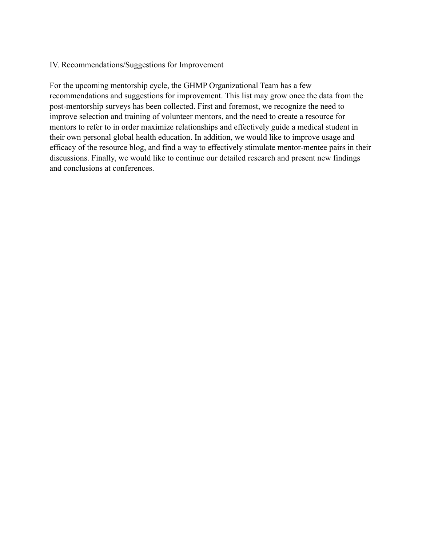#### IV. Recommendations/Suggestions for Improvement

For the upcoming mentorship cycle, the GHMP Organizational Team has a few recommendations and suggestions for improvement. This list may grow once the data from the post-mentorship surveys has been collected. First and foremost, we recognize the need to improve selection and training of volunteer mentors, and the need to create a resource for mentors to refer to in order maximize relationships and effectively guide a medical student in their own personal global health education. In addition, we would like to improve usage and efficacy of the resource blog, and find a way to effectively stimulate mentor-mentee pairs in their discussions. Finally, we would like to continue our detailed research and present new findings and conclusions at conferences.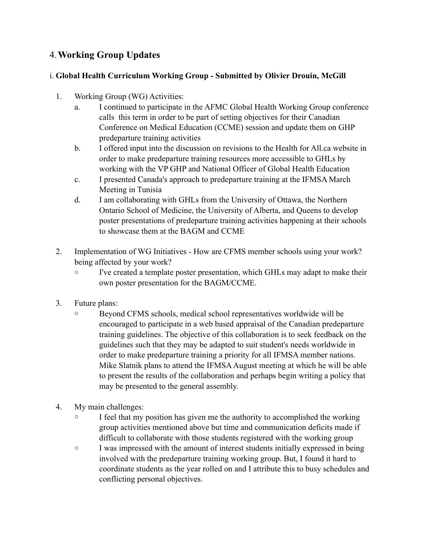# 4.**Working Group Updates**

# i. **Global Health Curriculum Working Group - Submitted by Olivier Drouin, McGill**

- 1. Working Group (WG) Activities:
	- a. I continued to participate in the AFMC Global Health Working Group conference calls this term in order to be part of setting objectives for their Canadian Conference on Medical Education (CCME) session and update them on GHP predeparture training activities
	- b. I offered input into the discussion on revisions to the Health for All.ca website in order to make predeparture training resources more accessible to GHLs by working with the VP GHP and National Officer of Global Health Education
	- c. I presented Canada's approach to predeparture training at the IFMSA March Meeting in Tunisia
	- d. I am collaborating with GHLs from the University of Ottawa, the Northern Ontario School of Medicine, the University of Alberta, and Queens to develop poster presentations of predeparture training activities happening at their schools to showcase them at the BAGM and CCME
- 2. Implementation of WG Initiatives How are CFMS member schools using your work? being affected by your work?
	- o I've created a template poster presentation, which GHLs may adapt to make their own poster presentation for the BAGM/CCME.
- 3. Future plans:
	- o Beyond CFMS schools, medical school representatives worldwide will be encouraged to participate in a web based appraisal of the Canadian predeparture training guidelines. The objective of this collaboration is to seek feedback on the guidelines such that they may be adapted to suit student's needs worldwide in order to make predeparture training a priority for all IFMSA member nations. Mike Slatnik plans to attend the IFMSA August meeting at which he will be able to present the results of the collaboration and perhaps begin writing a policy that may be presented to the general assembly.
- 4. My main challenges:
	- o I feel that my position has given me the authority to accomplished the working group activities mentioned above but time and communication deficits made if difficult to collaborate with those students registered with the working group
	- o I was impressed with the amount of interest students initially expressed in being involved with the predeparture training working group. But, I found it hard to coordinate students as the year rolled on and I attribute this to busy schedules and conflicting personal objectives.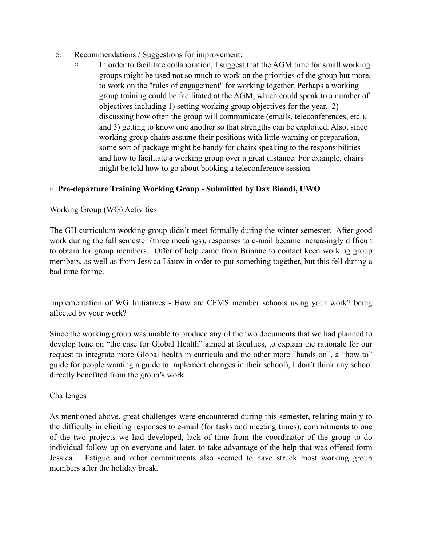- 5. Recommendations / Suggestions for improvement:
	- In order to facilitate collaboration, I suggest that the AGM time for small working groups might be used not so much to work on the priorities of the group but more, to work on the "rules of engagement" for working together. Perhaps a working group training could be facilitated at the AGM, which could speak to a number of objectives including 1) setting working group objectives for the year, 2) discussing how often the group will communicate (emails, teleconferences, etc.), and 3) getting to know one another so that strengths can be exploited. Also, since working group chairs assume their positions with little warning or preparation, some sort of package might be handy for chairs speaking to the responsibilities and how to facilitate a working group over a great distance. For example, chairs might be told how to go about booking a teleconference session.

# ii. **Pre-departure Training Working Group - Submitted by Dax Biondi, UWO**

#### Working Group (WG) Activities

The GH curriculum working group didn't meet formally during the winter semester. After good work during the fall semester (three meetings), responses to e-mail became increasingly difficult to obtain for group members. Offer of help came from Brianne to contact keen working group members, as well as from Jessica Liauw in order to put something together, but this fell during a bad time for me.

Implementation of WG Initiatives - How are CFMS member schools using your work? being affected by your work?

Since the working group was unable to produce any of the two documents that we had planned to develop (one on "the case for Global Health" aimed at faculties, to explain the rationale for our request to integrate more Global health in curricula and the other more "hands on", a "how to" guide for people wanting a guide to implement changes in their school), I don't think any school directly benefited from the group's work.

#### Challenges

As mentioned above, great challenges were encountered during this semester, relating mainly to the difficulty in eliciting responses to e-mail (for tasks and meeting times), commitments to one of the two projects we had developed, lack of time from the coordinator of the group to do individual follow-up on everyone and later, to take advantage of the help that was offered form Jessica. Fatigue and other commitments also seemed to have struck most working group members after the holiday break.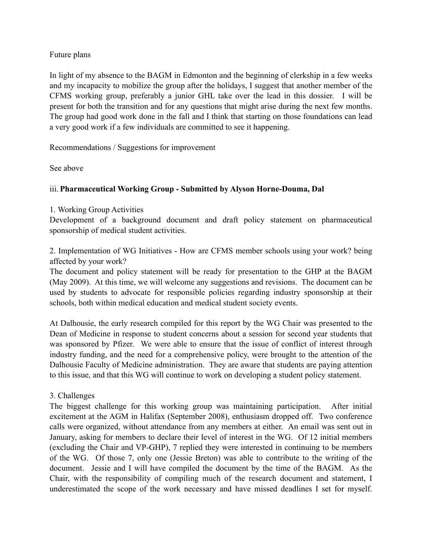#### Future plans

In light of my absence to the BAGM in Edmonton and the beginning of clerkship in a few weeks and my incapacity to mobilize the group after the holidays, I suggest that another member of the CFMS working group, preferably a junior GHL take over the lead in this dossier. I will be present for both the transition and for any questions that might arise during the next few months. The group had good work done in the fall and I think that starting on those foundations can lead a very good work if a few individuals are committed to see it happening.

Recommendations / Suggestions for improvement

See above

#### iii. **Pharmaceutical Working Group - Submitted by Alyson Horne-Douma, Dal**

#### 1. Working Group Activities

Development of a background document and draft policy statement on pharmaceutical sponsorship of medical student activities.

2. Implementation of WG Initiatives - How are CFMS member schools using your work? being affected by your work?

The document and policy statement will be ready for presentation to the GHP at the BAGM (May 2009). At this time, we will welcome any suggestions and revisions. The document can be used by students to advocate for responsible policies regarding industry sponsorship at their schools, both within medical education and medical student society events.

At Dalhousie, the early research compiled for this report by the WG Chair was presented to the Dean of Medicine in response to student concerns about a session for second year students that was sponsored by Pfizer. We were able to ensure that the issue of conflict of interest through industry funding, and the need for a comprehensive policy, were brought to the attention of the Dalhousie Faculty of Medicine administration. They are aware that students are paying attention to this issue, and that this WG will continue to work on developing a student policy statement.

#### 3. Challenges

The biggest challenge for this working group was maintaining participation. After initial excitement at the AGM in Halifax (September 2008), enthusiasm dropped off. Two conference calls were organized, without attendance from any members at either. An email was sent out in January, asking for members to declare their level of interest in the WG. Of 12 initial members (excluding the Chair and VP-GHP), 7 replied they were interested in continuing to be members of the WG. Of those 7, only one (Jessie Breton) was able to contribute to the writing of the document. Jessie and I will have compiled the document by the time of the BAGM. As the Chair, with the responsibility of compiling much of the research document and statement, I underestimated the scope of the work necessary and have missed deadlines I set for myself.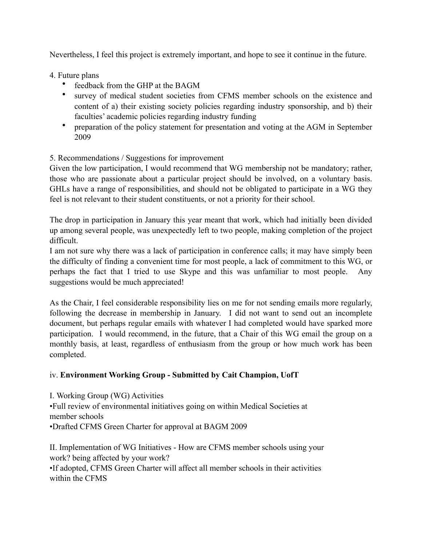Nevertheless, I feel this project is extremely important, and hope to see it continue in the future.

- 4. Future plans
	- feedback from the GHP at the BAGM
	- survey of medical student societies from CFMS member schools on the existence and content of a) their existing society policies regarding industry sponsorship, and b) their faculties' academic policies regarding industry funding
	- preparation of the policy statement for presentation and voting at the AGM in September 2009

# 5. Recommendations / Suggestions for improvement

Given the low participation, I would recommend that WG membership not be mandatory; rather, those who are passionate about a particular project should be involved, on a voluntary basis. GHLs have a range of responsibilities, and should not be obligated to participate in a WG they feel is not relevant to their student constituents, or not a priority for their school.

The drop in participation in January this year meant that work, which had initially been divided up among several people, was unexpectedly left to two people, making completion of the project difficult.

I am not sure why there was a lack of participation in conference calls; it may have simply been the difficulty of finding a convenient time for most people, a lack of commitment to this WG, or perhaps the fact that I tried to use Skype and this was unfamiliar to most people. Any suggestions would be much appreciated!

As the Chair, I feel considerable responsibility lies on me for not sending emails more regularly, following the decrease in membership in January. I did not want to send out an incomplete document, but perhaps regular emails with whatever I had completed would have sparked more participation. I would recommend, in the future, that a Chair of this WG email the group on a monthly basis, at least, regardless of enthusiasm from the group or how much work has been completed.

#### iv. **Environment Working Group - Submitted by Cait Champion, UofT**

I. Working Group (WG) Activities •Full review of environmental initiatives going on within Medical Societies at member schools •Drafted CFMS Green Charter for approval at BAGM 2009

II. Implementation of WG Initiatives - How are CFMS member schools using your work? being affected by your work?

•If adopted, CFMS Green Charter will affect all member schools in their activities within the CFMS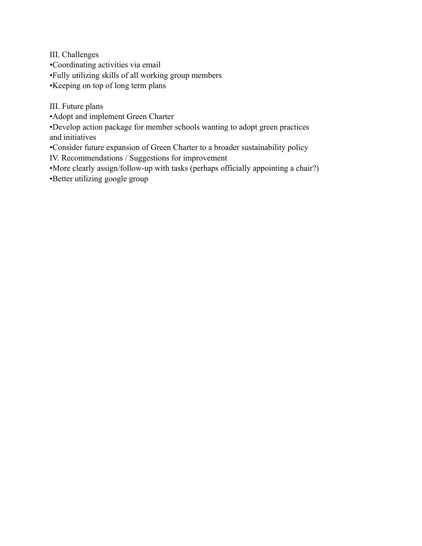III. Challenges •Coordinating activities via email •Fully utilizing skills of all working group members •Keeping on top of long term plans

III. Future plans

•Adopt and implement Green Charter

•Develop action package for member schools wanting to adopt green practices and initiatives

•Consider future expansion of Green Charter to a broader sustainability policy

IV. Recommendations / Suggestions for improvement

•More clearly assign/follow-up with tasks (perhaps officially appointing a chair?)

•Better utilizing google group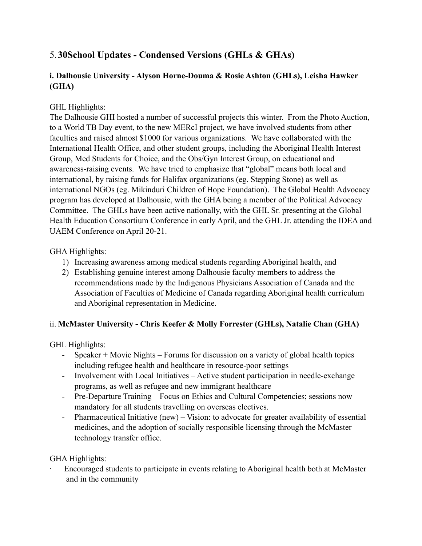# 5.**30School Updates - Condensed Versions (GHLs & GHAs)**

# **i. Dalhousie University - Alyson Horne-Douma & Rosie Ashton (GHLs), Leisha Hawker (GHA)**

# GHL Highlights:

The Dalhousie GHI hosted a number of successful projects this winter. From the Photo Auction, to a World TB Day event, to the new MERcI project, we have involved students from other faculties and raised almost \$1000 for various organizations. We have collaborated with the International Health Office, and other student groups, including the Aboriginal Health Interest Group, Med Students for Choice, and the Obs/Gyn Interest Group, on educational and awareness-raising events. We have tried to emphasize that "global" means both local and international, by raising funds for Halifax organizations (eg. Stepping Stone) as well as international NGOs (eg. Mikinduri Children of Hope Foundation). The Global Health Advocacy program has developed at Dalhousie, with the GHA being a member of the Political Advocacy Committee. The GHLs have been active nationally, with the GHL Sr. presenting at the Global Health Education Consortium Conference in early April, and the GHL Jr. attending the IDEA and UAEM Conference on April 20-21.

# GHA Highlights:

- 1) Increasing awareness among medical students regarding Aboriginal health, and
- 2) Establishing genuine interest among Dalhousie faculty members to address the recommendations made by the Indigenous Physicians Association of Canada and the Association of Faculties of Medicine of Canada regarding Aboriginal health curriculum and Aboriginal representation in Medicine.

# ii. **McMaster University - Chris Keefer & Molly Forrester (GHLs), Natalie Chan (GHA)**

GHL Highlights:

- Speaker + Movie Nights Forums for discussion on a variety of global health topics including refugee health and healthcare in resource-poor settings
- Involvement with Local Initiatives Active student participation in needle-exchange programs, as well as refugee and new immigrant healthcare
- Pre-Departure Training Focus on Ethics and Cultural Competencies; sessions now mandatory for all students travelling on overseas electives.
- Pharmaceutical Initiative (new) Vision: to advocate for greater availability of essential medicines, and the adoption of socially responsible licensing through the McMaster technology transfer office.

# GHA Highlights:

· Encouraged students to participate in events relating to Aboriginal health both at McMaster and in the community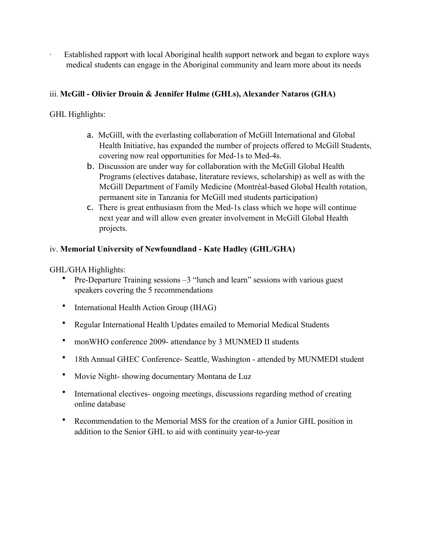Established rapport with local Aboriginal health support network and began to explore ways medical students can engage in the Aboriginal community and learn more about its needs

# iii. **McGill - Olivier Drouin & Jennifer Hulme (GHLs), Alexander Nataros (GHA)**

GHL Highlights:

- a. McGill, with the everlasting collaboration of McGill International and Global Health Initiative, has expanded the number of projects offered to McGill Students, covering now real opportunities for Med-1s to Med-4s.
- b. Discussion are under way for collaboration with the McGill Global Health Programs (electives database, literature reviews, scholarship) as well as with the McGill Department of Family Medicine (Montréal-based Global Health rotation, permanent site in Tanzania for McGill med students participation)
- c. There is great enthusiasm from the Med-1s class which we hope will continue next year and will allow even greater involvement in McGill Global Health projects.

# iv. **Memorial University of Newfoundland - Kate Hadley (GHL/GHA)**

GHL/GHA Highlights:

- Pre-Departure Training sessions –3 "lunch and learn" sessions with various guest speakers covering the 5 recommendations
- International Health Action Group (IHAG)
- Regular International Health Updates emailed to Memorial Medical Students
- monWHO conference 2009- attendance by 3 MUNMED II students
- 18th Annual GHEC Conference- Seattle, Washington attended by MUNMEDI student
- Movie Night- showing documentary Montana de Luz
- International electives- ongoing meetings, discussions regarding method of creating online database
- Recommendation to the Memorial MSS for the creation of a Junior GHL position in addition to the Senior GHL to aid with continuity year-to-year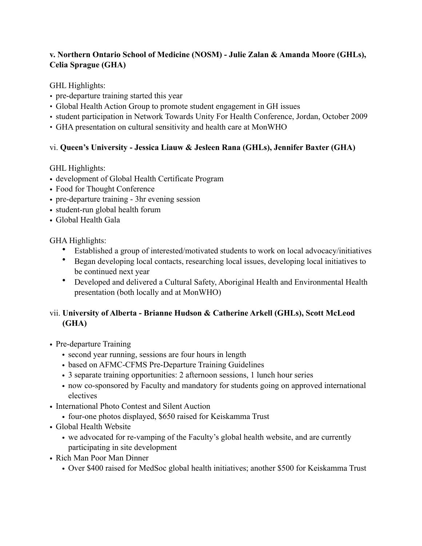# **v. Northern Ontario School of Medicine (NOSM) - Julie Zalan & Amanda Moore (GHLs), Celia Sprague (GHA)**

GHL Highlights:

- pre-departure training started this year
- Global Health Action Group to promote student engagement in GH issues
- student participation in Network Towards Unity For Health Conference, Jordan, October 2009
- GHA presentation on cultural sensitivity and health care at MonWHO

# vi. **Queen's University - Jessica Liauw & Jesleen Rana (GHLs), Jennifer Baxter (GHA)**

GHL Highlights:

- development of Global Health Certificate Program
- Food for Thought Conference
- pre-departure training 3hr evening session
- student-run global health forum
- Global Health Gala

GHA Highlights:

- Established a group of interested/motivated students to work on local advocacy/initiatives
- Began developing local contacts, researching local issues, developing local initiatives to be continued next year
- Developed and delivered a Cultural Safety, Aboriginal Health and Environmental Health presentation (both locally and at MonWHO)

# vii. **University of Alberta - Brianne Hudson & Catherine Arkell (GHLs), Scott McLeod (GHA)**

- Pre-departure Training
	- second year running, sessions are four hours in length
	- based on AFMC-CFMS Pre-Departure Training Guidelines
	- 3 separate training opportunities: 2 afternoon sessions, 1 lunch hour series
	- now co-sponsored by Faculty and mandatory for students going on approved international electives
- International Photo Contest and Silent Auction
	- four-one photos displayed, \$650 raised for Keiskamma Trust
- Global Health Website
	- we advocated for re-vamping of the Faculty's global health website, and are currently participating in site development
- Rich Man Poor Man Dinner
	- Over \$400 raised for MedSoc global health initiatives; another \$500 for Keiskamma Trust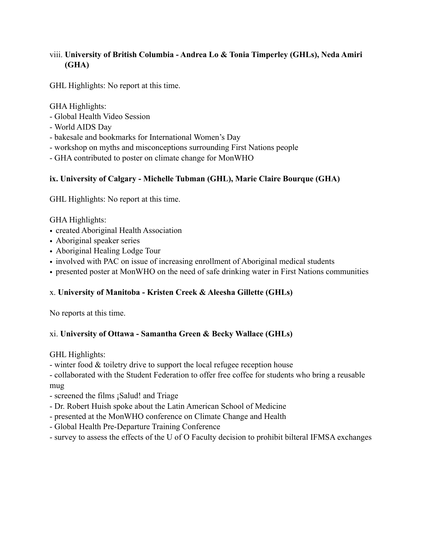# viii. **University of British Columbia - Andrea Lo & Tonia Timperley (GHLs), Neda Amiri (GHA)**

GHL Highlights: No report at this time.

GHA Highlights:

- Global Health Video Session
- World AIDS Day
- bakesale and bookmarks for International Women's Day
- workshop on myths and misconceptions surrounding First Nations people
- GHA contributed to poster on climate change for MonWHO

# **ix. University of Calgary - Michelle Tubman (GHL), Marie Claire Bourque (GHA)**

GHL Highlights: No report at this time.

GHA Highlights:

- created Aboriginal Health Association
- Aboriginal speaker series
- Aboriginal Healing Lodge Tour
- involved with PAC on issue of increasing enrollment of Aboriginal medical students
- presented poster at MonWHO on the need of safe drinking water in First Nations communities

# x. **University of Manitoba - Kristen Creek & Aleesha Gillette (GHLs)**

No reports at this time.

# xi. **University of Ottawa - Samantha Green & Becky Wallace (GHLs)**

GHL Highlights:

- winter food & toiletry drive to support the local refugee reception house

- collaborated with the Student Federation to offer free coffee for students who bring a reusable mug

- screened the films ¡Salud! and Triage
- Dr. Robert Huish spoke about the Latin American School of Medicine
- presented at the MonWHO conference on Climate Change and Health
- Global Health Pre-Departure Training Conference
- survey to assess the effects of the U of O Faculty decision to prohibit bilteral IFMSA exchanges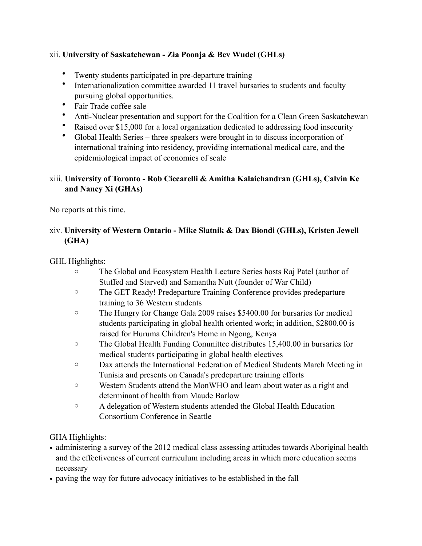# xii. **University of Saskatchewan - Zia Poonja & Bev Wudel (GHLs)**

- Twenty students participated in pre-departure training
- Internationalization committee awarded 11 travel bursaries to students and faculty pursuing global opportunities.
- Fair Trade coffee sale
- Anti-Nuclear presentation and support for the Coalition for a Clean Green Saskatchewan
- Raised over \$15,000 for a local organization dedicated to addressing food insecurity
- Global Health Series three speakers were brought in to discuss incorporation of international training into residency, providing international medical care, and the epidemiological impact of economies of scale

# xiii. **University of Toronto - Rob Ciccarelli & Amitha Kalaichandran (GHLs), Calvin Ke and Nancy Xi (GHAs)**

No reports at this time.

# xiv. **University of Western Ontario - Mike Slatnik & Dax Biondi (GHLs), Kristen Jewell (GHA)**

# GHL Highlights:

- o The Global and Ecosystem Health Lecture Series hosts Raj Patel (author of Stuffed and Starved) and Samantha Nutt (founder of War Child)
- o The GET Ready! Predeparture Training Conference provides predeparture training to 36 Western students
- o The Hungry for Change Gala 2009 raises \$5400.00 for bursaries for medical students participating in global health oriented work; in addition, \$2800.00 is raised for Huruma Children's Home in Ngong, Kenya
- o The Global Health Funding Committee distributes 15,400.00 in bursaries for medical students participating in global health electives
- o Dax attends the International Federation of Medical Students March Meeting in Tunisia and presents on Canada's predeparture training efforts
- o Western Students attend the MonWHO and learn about water as a right and determinant of health from Maude Barlow
- o A delegation of Western students attended the Global Health Education Consortium Conference in Seattle

# GHA Highlights:

- administering a survey of the 2012 medical class assessing attitudes towards Aboriginal health and the effectiveness of current curriculum including areas in which more education seems necessary
- paving the way for future advocacy initiatives to be established in the fall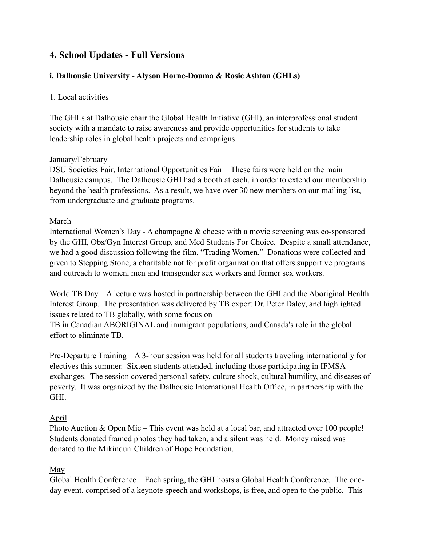# **4. School Updates - Full Versions**

# **i. Dalhousie University - Alyson Horne-Douma & Rosie Ashton (GHLs)**

#### 1. Local activities

The GHLs at Dalhousie chair the Global Health Initiative (GHI), an interprofessional student society with a mandate to raise awareness and provide opportunities for students to take leadership roles in global health projects and campaigns.

#### January/February

DSU Societies Fair, International Opportunities Fair – These fairs were held on the main Dalhousie campus. The Dalhousie GHI had a booth at each, in order to extend our membership beyond the health professions. As a result, we have over 30 new members on our mailing list, from undergraduate and graduate programs.

#### March

International Women's Day - A champagne & cheese with a movie screening was co-sponsored by the GHI, Obs/Gyn Interest Group, and Med Students For Choice. Despite a small attendance, we had a good discussion following the film, "Trading Women." Donations were collected and given to Stepping Stone, a charitable not for profit organization that offers supportive programs and outreach to women, men and transgender sex workers and former sex workers.

World TB Day – A lecture was hosted in partnership between the GHI and the Aboriginal Health Interest Group. The presentation was delivered by TB expert Dr. Peter Daley, and highlighted issues related to TB globally, with some focus on

TB in Canadian ABORIGINAL and immigrant populations, and Canada's role in the global effort to eliminate TB.

Pre-Departure Training – A 3-hour session was held for all students traveling internationally for electives this summer. Sixteen students attended, including those participating in IFMSA exchanges. The session covered personal safety, culture shock, cultural humility, and diseases of poverty. It was organized by the Dalhousie International Health Office, in partnership with the GHI.

#### April

Photo Auction & Open Mic – This event was held at a local bar, and attracted over 100 people! Students donated framed photos they had taken, and a silent was held. Money raised was donated to the Mikinduri Children of Hope Foundation.

#### May

Global Health Conference – Each spring, the GHI hosts a Global Health Conference. The oneday event, comprised of a keynote speech and workshops, is free, and open to the public. This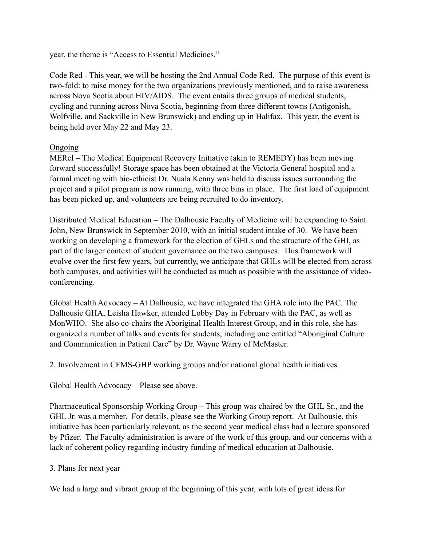year, the theme is "Access to Essential Medicines."

Code Red - This year, we will be hosting the 2nd Annual Code Red. The purpose of this event is two-fold: to raise money for the two organizations previously mentioned, and to raise awareness across Nova Scotia about HIV/AIDS. The event entails three groups of medical students, cycling and running across Nova Scotia, beginning from three different towns (Antigonish, Wolfville, and Sackville in New Brunswick) and ending up in Halifax. This year, the event is being held over May 22 and May 23.

#### **Ongoing**

MERcI – The Medical Equipment Recovery Initiative (akin to REMEDY) has been moving forward successfully! Storage space has been obtained at the Victoria General hospital and a formal meeting with bio-ethicist Dr. Nuala Kenny was held to discuss issues surrounding the project and a pilot program is now running, with three bins in place. The first load of equipment has been picked up, and volunteers are being recruited to do inventory.

Distributed Medical Education – The Dalhousie Faculty of Medicine will be expanding to Saint John, New Brunswick in September 2010, with an initial student intake of 30. We have been working on developing a framework for the election of GHLs and the structure of the GHI, as part of the larger context of student governance on the two campuses. This framework will evolve over the first few years, but currently, we anticipate that GHLs will be elected from across both campuses, and activities will be conducted as much as possible with the assistance of videoconferencing.

Global Health Advocacy – At Dalhousie, we have integrated the GHA role into the PAC. The Dalhousie GHA, Leisha Hawker, attended Lobby Day in February with the PAC, as well as MonWHO. She also co-chairs the Aboriginal Health Interest Group, and in this role, she has organized a number of talks and events for students, including one entitled "Aboriginal Culture and Communication in Patient Care" by Dr. Wayne Warry of McMaster.

2. Involvement in CFMS-GHP working groups and/or national global health initiatives

Global Health Advocacy – Please see above.

Pharmaceutical Sponsorship Working Group – This group was chaired by the GHL Sr., and the GHL Jr. was a member. For details, please see the Working Group report. At Dalhousie, this initiative has been particularly relevant, as the second year medical class had a lecture sponsored by Pfizer. The Faculty administration is aware of the work of this group, and our concerns with a lack of coherent policy regarding industry funding of medical education at Dalhousie.

#### 3. Plans for next year

We had a large and vibrant group at the beginning of this year, with lots of great ideas for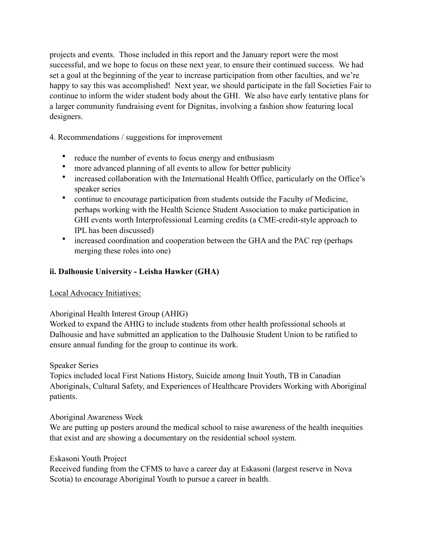projects and events. Those included in this report and the January report were the most successful, and we hope to focus on these next year, to ensure their continued success. We had set a goal at the beginning of the year to increase participation from other faculties, and we're happy to say this was accomplished! Next year, we should participate in the fall Societies Fair to continue to inform the wider student body about the GHI. We also have early tentative plans for a larger community fundraising event for Dignitas, involving a fashion show featuring local designers.

4. Recommendations / suggestions for improvement

- reduce the number of events to focus energy and enthusiasm
- more advanced planning of all events to allow for better publicity
- increased collaboration with the International Health Office, particularly on the Office's speaker series
- continue to encourage participation from students outside the Faculty of Medicine, perhaps working with the Health Science Student Association to make participation in GHI events worth Interprofessional Learning credits (a CME-credit-style approach to IPL has been discussed)
- increased coordination and cooperation between the GHA and the PAC rep (perhaps merging these roles into one)

# **ii. Dalhousie University - Leisha Hawker (GHA)**

# Local Advocacy Initiatives:

# Aboriginal Health Interest Group (AHIG)

Worked to expand the AHIG to include students from other health professional schools at Dalhousie and have submitted an application to the Dalhousie Student Union to be ratified to ensure annual funding for the group to continue its work.

# Speaker Series

Topics included local First Nations History, Suicide among Inuit Youth, TB in Canadian Aboriginals, Cultural Safety, and Experiences of Healthcare Providers Working with Aboriginal patients.

#### Aboriginal Awareness Week

We are putting up posters around the medical school to raise awareness of the health inequities that exist and are showing a documentary on the residential school system.

#### Eskasoni Youth Project

Received funding from the CFMS to have a career day at Eskasoni (largest reserve in Nova Scotia) to encourage Aboriginal Youth to pursue a career in health.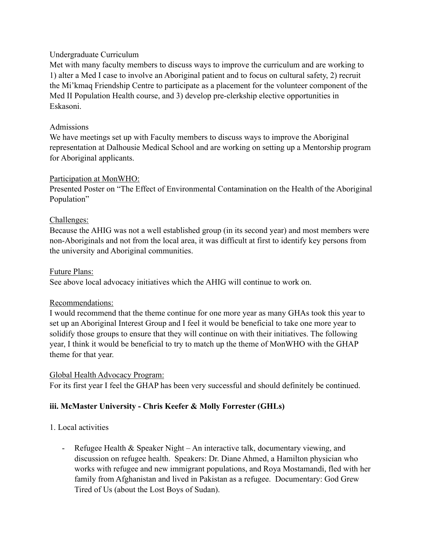#### Undergraduate Curriculum

Met with many faculty members to discuss ways to improve the curriculum and are working to 1) alter a Med I case to involve an Aboriginal patient and to focus on cultural safety, 2) recruit the Mi'kmaq Friendship Centre to participate as a placement for the volunteer component of the Med II Population Health course, and 3) develop pre-clerkship elective opportunities in Eskasoni.

# Admissions

We have meetings set up with Faculty members to discuss ways to improve the Aboriginal representation at Dalhousie Medical School and are working on setting up a Mentorship program for Aboriginal applicants.

# Participation at MonWHO:

Presented Poster on "The Effect of Environmental Contamination on the Health of the Aboriginal Population"

# Challenges:

Because the AHIG was not a well established group (in its second year) and most members were non-Aboriginals and not from the local area, it was difficult at first to identify key persons from the university and Aboriginal communities.

# Future Plans:

See above local advocacy initiatives which the AHIG will continue to work on.

#### Recommendations:

I would recommend that the theme continue for one more year as many GHAs took this year to set up an Aboriginal Interest Group and I feel it would be beneficial to take one more year to solidify those groups to ensure that they will continue on with their initiatives. The following year, I think it would be beneficial to try to match up the theme of MonWHO with the GHAP theme for that year.

# Global Health Advocacy Program:

For its first year I feel the GHAP has been very successful and should definitely be continued.

# **iii. McMaster University - Chris Keefer & Molly Forrester (GHLs)**

# 1. Local activities

- Refugee Health & Speaker Night – An interactive talk, documentary viewing, and discussion on refugee health. Speakers: Dr. Diane Ahmed, a Hamilton physician who works with refugee and new immigrant populations, and Roya Mostamandi, fled with her family from Afghanistan and lived in Pakistan as a refugee. Documentary: God Grew Tired of Us (about the Lost Boys of Sudan).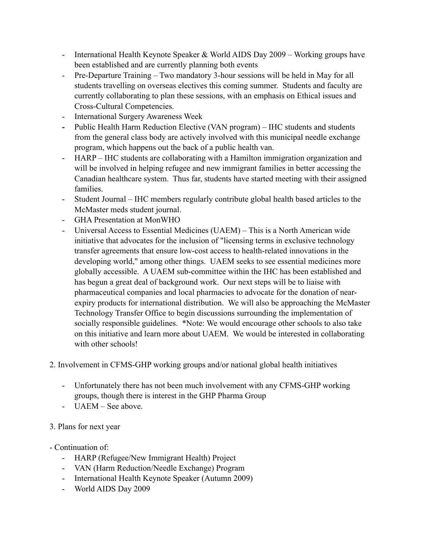- International Health Keynote Speaker & World AIDS Day 2009 Working groups have been established and are currently planning both events
- Pre-Departure Training Two mandatory 3-hour sessions will be held in May for all students travelling on overseas electives this coming summer. Students and faculty are currently collaborating to plan these sessions, with an emphasis on Ethical issues and Cross-Cultural Competencies.
- International Surgery Awareness Week
- **-** Public Health Harm Reduction Elective (VAN program) IHC students and students from the general class body are actively involved with this municipal needle exchange program, which happens out the back of a public health van.
- HARP IHC students are collaborating with a Hamilton immigration organization and will be involved in helping refugee and new immigrant families in better accessing the Canadian healthcare system. Thus far, students have started meeting with their assigned families.
- Student Journal IHC members regularly contribute global health based articles to the McMaster meds student journal.
- GHA Presentation at MonWHO
- Universal Access to Essential Medicines (UAEM) This is a North American wide initiative that advocates for the inclusion of "licensing terms in exclusive technology transfer agreements that ensure low-cost access to health-related innovations in the developing world," among other things. UAEM seeks to see essential medicines more globally accessible. A UAEM sub-committee within the IHC has been established and has begun a great deal of background work. Our next steps will be to liaise with pharmaceutical companies and local pharmacies to advocate for the donation of nearexpiry products for international distribution. We will also be approaching the McMaster Technology Transfer Office to begin discussions surrounding the implementation of socially responsible guidelines. \*Note: We would encourage other schools to also take on this initiative and learn more about UAEM. We would be interested in collaborating with other schools!
- 2. Involvement in CFMS-GHP working groups and/or national global health initiatives
	- Unfortunately there has not been much involvement with any CFMS-GHP working groups, though there is interest in the GHP Pharma Group
	- UAEM See above.
- 3. Plans for next year
- Continuation of:
	- HARP (Refugee/New Immigrant Health) Project
	- VAN (Harm Reduction/Needle Exchange) Program
	- International Health Keynote Speaker (Autumn 2009)
	- World AIDS Day 2009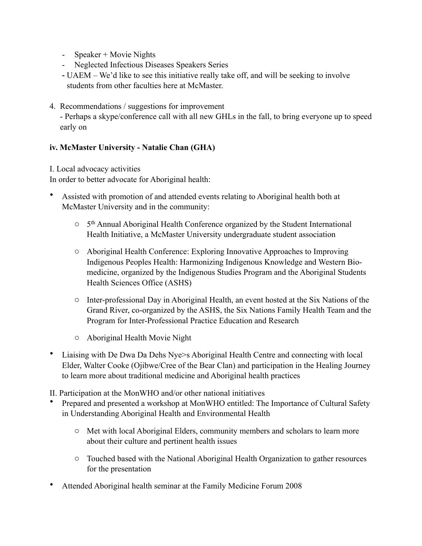- Speaker + Movie Nights
- Neglected Infectious Diseases Speakers Series
- UAEM We'd like to see this initiative really take off, and will be seeking to involve students from other faculties here at McMaster.
- 4. Recommendations / suggestions for improvement

- Perhaps a skype/conference call with all new GHLs in the fall, to bring everyone up to speed early on

# **iv. McMaster University - Natalie Chan (GHA)**

I. Local advocacy activities

In order to better advocate for Aboriginal health:

- Assisted with promotion of and attended events relating to Aboriginal health both at McMaster University and in the community:
	- o 5th Annual Aboriginal Health Conference organized by the Student International Health Initiative, a McMaster University undergraduate student association
	- o Aboriginal Health Conference: Exploring Innovative Approaches to Improving Indigenous Peoples Health: Harmonizing Indigenous Knowledge and Western Biomedicine, organized by the Indigenous Studies Program and the Aboriginal Students Health Sciences Office (ASHS)
	- o Inter-professional Day in Aboriginal Health, an event hosted at the Six Nations of the Grand River, co-organized by the ASHS, the Six Nations Family Health Team and the Program for Inter-Professional Practice Education and Research
	- o Aboriginal Health Movie Night
- Liaising with De Dwa Da Dehs Nye>s Aboriginal Health Centre and connecting with local Elder, Walter Cooke (Ojibwe/Cree of the Bear Clan) and participation in the Healing Journey to learn more about traditional medicine and Aboriginal health practices
- II. Participation at the MonWHO and/or other national initiatives
- Prepared and presented a workshop at MonWHO entitled: The Importance of Cultural Safety in Understanding Aboriginal Health and Environmental Health
	- o Met with local Aboriginal Elders, community members and scholars to learn more about their culture and pertinent health issues
	- o Touched based with the National Aboriginal Health Organization to gather resources for the presentation
- Attended Aboriginal health seminar at the Family Medicine Forum 2008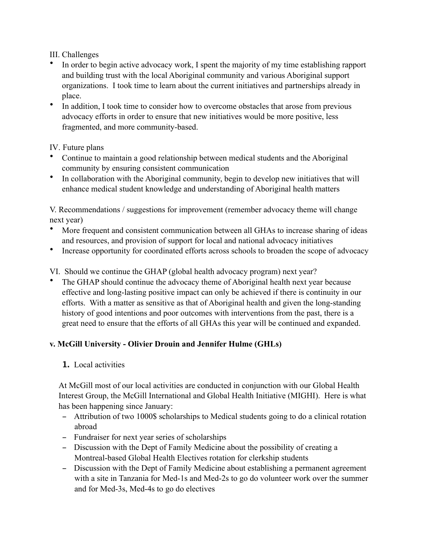III. Challenges

- In order to begin active advocacy work, I spent the majority of my time establishing rapport and building trust with the local Aboriginal community and various Aboriginal support organizations. I took time to learn about the current initiatives and partnerships already in place.
- In addition, I took time to consider how to overcome obstacles that arose from previous advocacy efforts in order to ensure that new initiatives would be more positive, less fragmented, and more community-based.

# IV. Future plans

- Continue to maintain a good relationship between medical students and the Aboriginal community by ensuring consistent communication
- In collaboration with the Aboriginal community, begin to develop new initiatives that will enhance medical student knowledge and understanding of Aboriginal health matters

V. Recommendations / suggestions for improvement (remember advocacy theme will change next year)

- More frequent and consistent communication between all GHAs to increase sharing of ideas and resources, and provision of support for local and national advocacy initiatives
- Increase opportunity for coordinated efforts across schools to broaden the scope of advocacy
- VI. Should we continue the GHAP (global health advocacy program) next year?
- The GHAP should continue the advocacy theme of Aboriginal health next year because effective and long-lasting positive impact can only be achieved if there is continuity in our efforts. With a matter as sensitive as that of Aboriginal health and given the long-standing history of good intentions and poor outcomes with interventions from the past, there is a great need to ensure that the efforts of all GHAs this year will be continued and expanded.

# **v. McGill University - Olivier Drouin and Jennifer Hulme (GHLs)**

# **1.** Local activities

At McGill most of our local activities are conducted in conjunction with our Global Health Interest Group, the McGill International and Global Health Initiative (MIGHI). Here is what has been happening since January:

- Attribution of two 1000\$ scholarships to Medical students going to do a clinical rotation abroad
- Fundraiser for next year series of scholarships
- Discussion with the Dept of Family Medicine about the possibility of creating a Montreal-based Global Health Electives rotation for clerkship students
- Discussion with the Dept of Family Medicine about establishing a permanent agreement with a site in Tanzania for Med-1s and Med-2s to go do volunteer work over the summer and for Med-3s, Med-4s to go do electives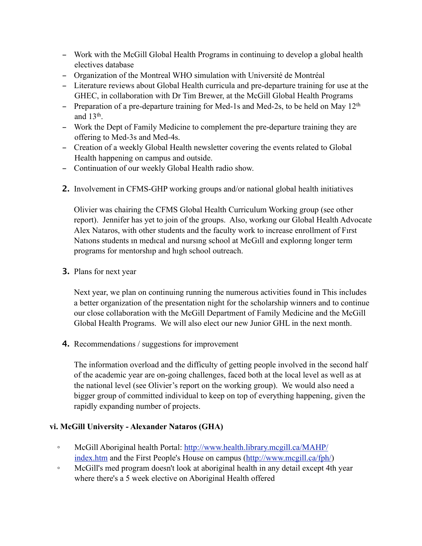- Work with the McGill Global Health Programs in continuing to develop a global health electives database
- Organization of the Montreal WHO simulation with Université de Montréal
- Literature reviews about Global Health curricula and pre-departure training for use at the GHEC, in collaboration with Dr Tim Brewer, at the McGill Global Health Programs
- Preparation of a pre-departure training for Med-1s and Med-2s, to be held on May  $12<sup>th</sup>$ and  $13<sup>th</sup>$ .
- Work the Dept of Family Medicine to complement the pre-departure training they are offering to Med-3s and Med-4s.
- Creation of a weekly Global Health newsletter covering the events related to Global Health happening on campus and outside.
- Continuation of our weekly Global Health radio show.
- **2.** Involvement in CFMS-GHP working groups and/or national global health initiatives

Olivier was chairing the CFMS Global Health Curriculum Working group (see other report). Jennifer has yet to join of the groups. Also, workıng our Global Health Advocate Alex Nataros, with other students and the faculty work to increase enrollment of Fırst Natıons students ın medıcal and nursıng school at McGıll and explorıng longer term programs for mentorshıp and hıgh school outreach.

**3.** Plans for next year

Next year, we plan on continuing running the numerous activities found in This includes a better organization of the presentation night for the scholarship winners and to continue our close collaboration with the McGill Department of Family Medicine and the McGill Global Health Programs. We will also elect our new Junior GHL in the next month.

**4.** Recommendations / suggestions for improvement

The information overload and the difficulty of getting people involved in the second half of the academic year are on-going challenges, faced both at the local level as well as at the national level (see Olivier's report on the working group). We would also need a bigger group of committed individual to keep on top of everything happening, given the rapidly expanding number of projects.

# **vi. McGill University - Alexander Nataros (GHA)**

- ! McGill Aboriginal health Portal: [http://www.health.library.mcgill.ca/MAHP/](http://www.health.library.mcgill.ca/MAHP/index.htm) [index.htm](http://www.health.library.mcgill.ca/MAHP/index.htm) and the First People's House on campus [\(http://www.mcgill.ca/fph/\)](http://www.mcgill.ca/fph/)
- McGill's med program doesn't look at aboriginal health in any detail except 4th year where there's a 5 week elective on Aboriginal Health offered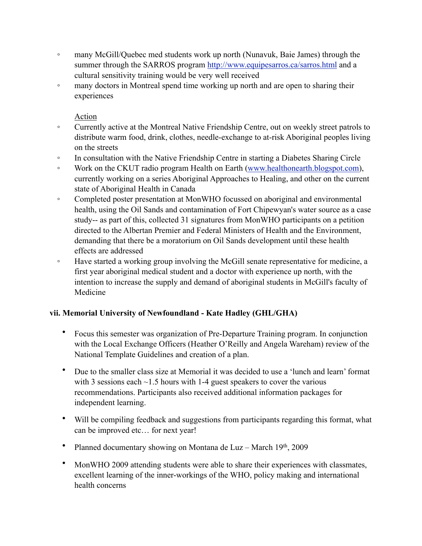- many McGill/Quebec med students work up north (Nunavuk, Baie James) through the summer through the SARROS program <http://www.equipesarros.ca/sarros.html> and a cultural sensitivity training would be very well received
- many doctors in Montreal spend time working up north and are open to sharing their experiences

# Action

- Currently active at the Montreal Native Friendship Centre, out on weekly street patrols to distribute warm food, drink, clothes, needle-exchange to at-risk Aboriginal peoples living on the streets
- In consultation with the Native Friendship Centre in starting a Diabetes Sharing Circle
- Work on the CKUT radio program Health on Earth ([www.healthonearth.blogspot.com](http://www.healthonearth.blogspot.com/)), currently working on a series Aboriginal Approaches to Healing, and other on the current state of Aboriginal Health in Canada
- Completed poster presentation at MonWHO focussed on aboriginal and environmental health, using the Oil Sands and contamination of Fort Chipewyan's water source as a case study-- as part of this, collected 31 signatures from MonWHO participants on a petition directed to the Albertan Premier and Federal Ministers of Health and the Environment, demanding that there be a moratorium on Oil Sands development until these health effects are addressed
- <sup>o</sup> Have started a working group involving the McGill senate representative for medicine, a first year aboriginal medical student and a doctor with experience up north, with the intention to increase the supply and demand of aboriginal students in McGill's faculty of Medicine

# **vii. Memorial University of Newfoundland - Kate Hadley (GHL/GHA)**

- Focus this semester was organization of Pre-Departure Training program. In conjunction with the Local Exchange Officers (Heather O'Reilly and Angela Wareham) review of the National Template Guidelines and creation of a plan.
- Due to the smaller class size at Memorial it was decided to use a 'lunch and learn' format with 3 sessions each ~1.5 hours with 1-4 guest speakers to cover the various recommendations. Participants also received additional information packages for independent learning.
- Will be compiling feedback and suggestions from participants regarding this format, what can be improved etc… for next year!
- Planned documentary showing on Montana de Luz March 19th, 2009
- MonWHO 2009 attending students were able to share their experiences with classmates, excellent learning of the inner-workings of the WHO, policy making and international health concerns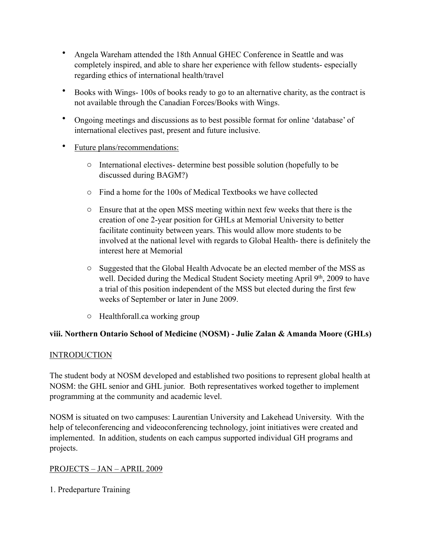- Angela Wareham attended the 18th Annual GHEC Conference in Seattle and was completely inspired, and able to share her experience with fellow students- especially regarding ethics of international health/travel
- Books with Wings- 100s of books ready to go to an alternative charity, as the contract is not available through the Canadian Forces/Books with Wings.
- Ongoing meetings and discussions as to best possible format for online 'database' of international electives past, present and future inclusive.
- Future plans/recommendations:
	- o International electives- determine best possible solution (hopefully to be discussed during BAGM?)
	- o Find a home for the 100s of Medical Textbooks we have collected
	- o Ensure that at the open MSS meeting within next few weeks that there is the creation of one 2-year position for GHLs at Memorial University to better facilitate continuity between years. This would allow more students to be involved at the national level with regards to Global Health- there is definitely the interest here at Memorial
	- o Suggested that the Global Health Advocate be an elected member of the MSS as well. Decided during the Medical Student Society meeting April 9<sup>th</sup>, 2009 to have a trial of this position independent of the MSS but elected during the first few weeks of September or later in June 2009.
	- o Healthforall.ca working group

#### **viii. Northern Ontario School of Medicine (NOSM) - Julie Zalan & Amanda Moore (GHLs)**

#### **INTRODUCTION**

The student body at NOSM developed and established two positions to represent global health at NOSM: the GHL senior and GHL junior. Both representatives worked together to implement programming at the community and academic level.

NOSM is situated on two campuses: Laurentian University and Lakehead University. With the help of teleconferencing and videoconferencing technology, joint initiatives were created and implemented. In addition, students on each campus supported individual GH programs and projects.

#### PROJECTS – JAN – APRIL 2009

1. Predeparture Training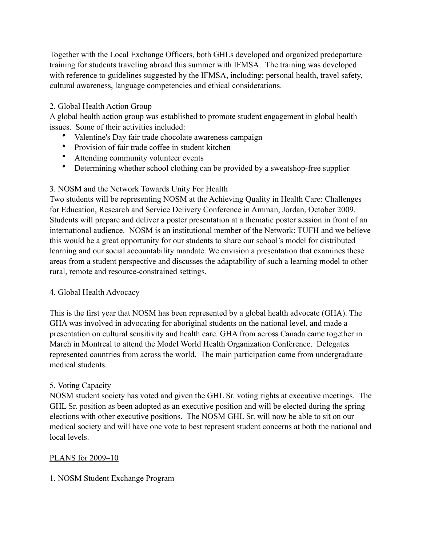Together with the Local Exchange Officers, both GHLs developed and organized predeparture training for students traveling abroad this summer with IFMSA. The training was developed with reference to guidelines suggested by the IFMSA, including: personal health, travel safety, cultural awareness, language competencies and ethical considerations.

# 2. Global Health Action Group

A global health action group was established to promote student engagement in global health issues. Some of their activities included:

- Valentine's Day fair trade chocolate awareness campaign
- Provision of fair trade coffee in student kitchen
- Attending community volunteer events
- Determining whether school clothing can be provided by a sweatshop-free supplier

# 3. NOSM and the Network Towards Unity For Health

Two students will be representing NOSM at the Achieving Quality in Health Care: Challenges for Education, Research and Service Delivery Conference in Amman, Jordan, October 2009. Students will prepare and deliver a poster presentation at a thematic poster session in front of an international audience. NOSM is an institutional member of the Network: TUFH and we believe this would be a great opportunity for our students to share our school's model for distributed learning and our social accountability mandate. We envision a presentation that examines these areas from a student perspective and discusses the adaptability of such a learning model to other rural, remote and resource-constrained settings.

#### 4. Global Health Advocacy

This is the first year that NOSM has been represented by a global health advocate (GHA). The GHA was involved in advocating for aboriginal students on the national level, and made a presentation on cultural sensitivity and health care. GHA from across Canada came together in March in Montreal to attend the Model World Health Organization Conference. Delegates represented countries from across the world. The main participation came from undergraduate medical students.

#### 5. Voting Capacity

NOSM student society has voted and given the GHL Sr. voting rights at executive meetings. The GHL Sr. position as been adopted as an executive position and will be elected during the spring elections with other executive positions. The NOSM GHL Sr. will now be able to sit on our medical society and will have one vote to best represent student concerns at both the national and local levels.

# PLANS for 2009–10

#### 1. NOSM Student Exchange Program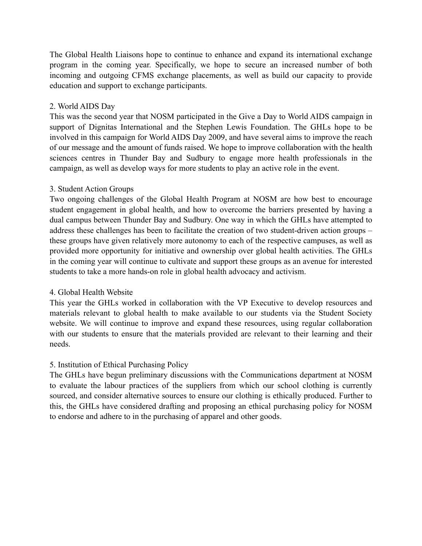The Global Health Liaisons hope to continue to enhance and expand its international exchange program in the coming year. Specifically, we hope to secure an increased number of both incoming and outgoing CFMS exchange placements, as well as build our capacity to provide education and support to exchange participants.

#### 2. World AIDS Day

This was the second year that NOSM participated in the Give a Day to World AIDS campaign in support of Dignitas International and the Stephen Lewis Foundation. The GHLs hope to be involved in this campaign for World AIDS Day 2009, and have several aims to improve the reach of our message and the amount of funds raised. We hope to improve collaboration with the health sciences centres in Thunder Bay and Sudbury to engage more health professionals in the campaign, as well as develop ways for more students to play an active role in the event.

#### 3. Student Action Groups

Two ongoing challenges of the Global Health Program at NOSM are how best to encourage student engagement in global health, and how to overcome the barriers presented by having a dual campus between Thunder Bay and Sudbury. One way in which the GHLs have attempted to address these challenges has been to facilitate the creation of two student-driven action groups – these groups have given relatively more autonomy to each of the respective campuses, as well as provided more opportunity for initiative and ownership over global health activities. The GHLs in the coming year will continue to cultivate and support these groups as an avenue for interested students to take a more hands-on role in global health advocacy and activism.

#### 4. Global Health Website

This year the GHLs worked in collaboration with the VP Executive to develop resources and materials relevant to global health to make available to our students via the Student Society website. We will continue to improve and expand these resources, using regular collaboration with our students to ensure that the materials provided are relevant to their learning and their needs.

#### 5. Institution of Ethical Purchasing Policy

The GHLs have begun preliminary discussions with the Communications department at NOSM to evaluate the labour practices of the suppliers from which our school clothing is currently sourced, and consider alternative sources to ensure our clothing is ethically produced. Further to this, the GHLs have considered drafting and proposing an ethical purchasing policy for NOSM to endorse and adhere to in the purchasing of apparel and other goods.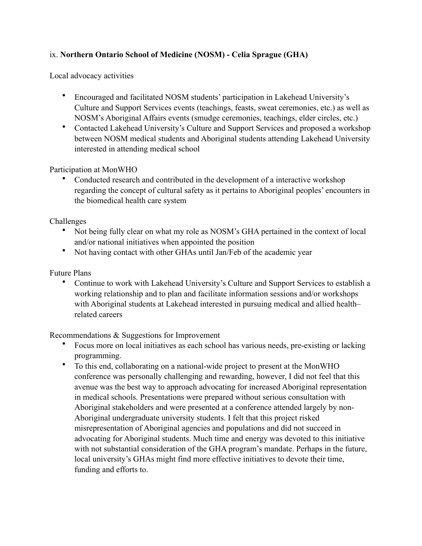# ix. **Northern Ontario School of Medicine (NOSM) - Celia Sprague (GHA)**

Local advocacy activities

- Encouraged and facilitated NOSM students' participation in Lakehead University's Culture and Support Services events (teachings, feasts, sweat ceremonies, etc.) as well as NOSM's Aboriginal Affairs events (smudge ceremonies, teachings, elder circles, etc.)
- Contacted Lakehead University's Culture and Support Services and proposed a workshop between NOSM medical students and Aboriginal students attending Lakehead University interested in attending medical school

Participation at MonWHO

• Conducted research and contributed in the development of a interactive workshop regarding the concept of cultural safety as it pertains to Aboriginal peoples' encounters in the biomedical health care system

Challenges

- Not being fully clear on what my role as NOSM's GHA pertained in the context of local and/or national initiatives when appointed the position
- Not having contact with other GHAs until Jan/Feb of the academic year

Future Plans

• Continue to work with Lakehead University's Culture and Support Services to establish a working relationship and to plan and facilitate information sessions and/or workshops with Aboriginal students at Lakehead interested in pursuing medical and allied health– related careers

Recommendations & Suggestions for Improvement

- Focus more on local initiatives as each school has various needs, pre-existing or lacking programming.
- To this end, collaborating on a national-wide project to present at the MonWHO conference was personally challenging and rewarding, however, I did not feel that this avenue was the best way to approach advocating for increased Aboriginal representation in medical schools. Presentations were prepared without serious consultation with Aboriginal stakeholders and were presented at a conference attended largely by non-Aboriginal undergraduate university students. I felt that this project risked misrepresentation of Aboriginal agencies and populations and did not succeed in advocating for Aboriginal students. Much time and energy was devoted to this initiative with not substantial consideration of the GHA program's mandate. Perhaps in the future, local university's GHAs might find more effective initiatives to devote their time, funding and efforts to.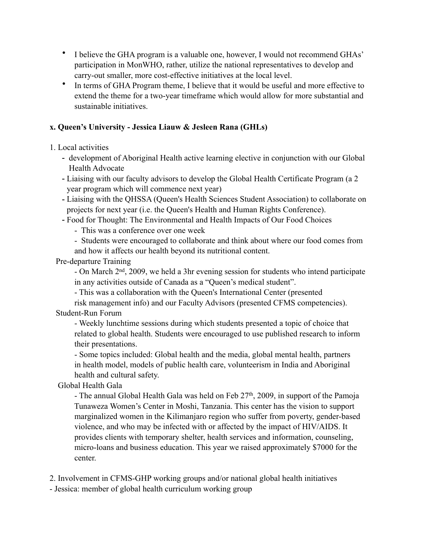- I believe the GHA program is a valuable one, however, I would not recommend GHAs' participation in MonWHO, rather, utilize the national representatives to develop and carry-out smaller, more cost-effective initiatives at the local level.
- In terms of GHA Program theme, I believe that it would be useful and more effective to extend the theme for a two-year timeframe which would allow for more substantial and sustainable initiatives.

# **x. Queen's University - Jessica Liauw & Jesleen Rana (GHLs)**

1. Local activities

- development of Aboriginal Health active learning elective in conjunction with our Global Health Advocate
- Liaising with our faculty advisors to develop the Global Health Certificate Program (a 2 year program which will commence next year)
- Liaising with the QHSSA (Queen's Health Sciences Student Association) to collaborate on projects for next year (i.e. the Queen's Health and Human Rights Conference).
- Food for Thought: The Environmental and Health Impacts of Our Food Choices
	- This was a conference over one week
	- Students were encouraged to collaborate and think about where our food comes from and how it affects our health beyond its nutritional content.

Pre-departure Training

 - On March 2nd, 2009, we held a 3hr evening session for students who intend participate in any activities outside of Canada as a "Queen's medical student".

- This was a collaboration with the Queen's International Center (presented

 risk management info) and our Faculty Advisors (presented CFMS competencies). Student-Run Forum

 - Weekly lunchtime sessions during which students presented a topic of choice that related to global health. Students were encouraged to use published research to inform their presentations.

 - Some topics included: Global health and the media, global mental health, partners in health model, models of public health care, volunteerism in India and Aboriginal health and cultural safety.

Global Health Gala

- The annual Global Health Gala was held on Feb  $27<sup>th</sup>$ , 2009, in support of the Pamoja Tunaweza Women's Center in Moshi, Tanzania. This center has the vision to support marginalized women in the Kilimanjaro region who suffer from poverty, gender-based violence, and who may be infected with or affected by the impact of HIV/AIDS. It provides clients with temporary shelter, health services and information, counseling, micro-loans and business education. This year we raised approximately \$7000 for the center.

2. Involvement in CFMS-GHP working groups and/or national global health initiatives

- Jessica: member of global health curriculum working group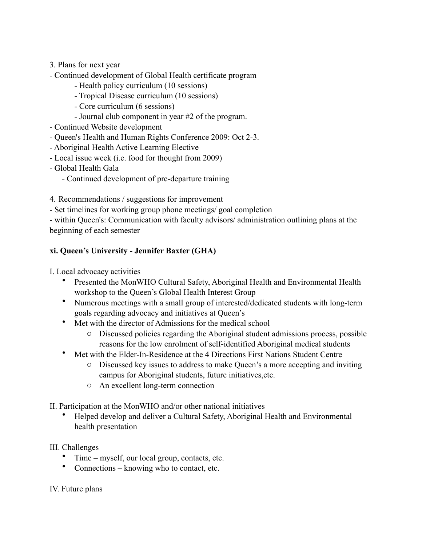- 3. Plans for next year
- Continued development of Global Health certificate program
	- Health policy curriculum (10 sessions)
	- Tropical Disease curriculum (10 sessions)
	- Core curriculum (6 sessions)
	- Journal club component in year #2 of the program.
- Continued Website development
- Queen's Health and Human Rights Conference 2009: Oct 2-3.
- Aboriginal Health Active Learning Elective
- Local issue week (i.e. food for thought from 2009)
- Global Health Gala
	- Continued development of pre-departure training
- 4. Recommendations / suggestions for improvement
- Set timelines for working group phone meetings/ goal completion

- within Queen's: Communication with faculty advisors/ administration outlining plans at the beginning of each semester

# **xi. Queen's University - Jennifer Baxter (GHA)**

I. Local advocacy activities

- Presented the MonWHO Cultural Safety, Aboriginal Health and Environmental Health workshop to the Queen's Global Health Interest Group
- Numerous meetings with a small group of interested/dedicated students with long-term goals regarding advocacy and initiatives at Queen's
- Met with the director of Admissions for the medical school
	- o Discussed policies regarding the Aboriginal student admissions process, possible reasons for the low enrolment of self-identified Aboriginal medical students
- Met with the Elder-In-Residence at the 4 Directions First Nations Student Centre
	- o Discussed key issues to address to make Queen's a more accepting and inviting campus for Aboriginal students, future initiatives,etc.
	- o An excellent long-term connection
- II. Participation at the MonWHO and/or other national initiatives
	- Helped develop and deliver a Cultural Safety, Aboriginal Health and Environmental health presentation
- III. Challenges
	- Time myself, our local group, contacts, etc.
	- Connections knowing who to contact, etc.

#### IV. Future plans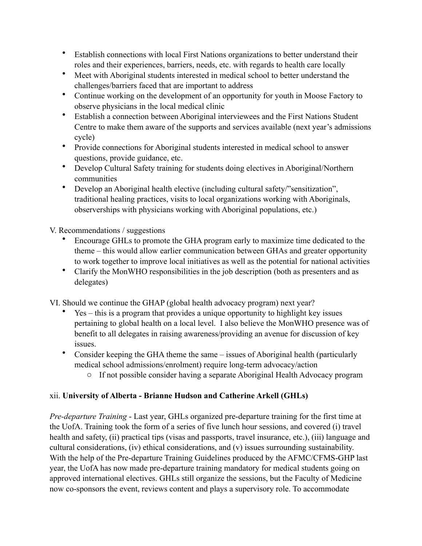- Establish connections with local First Nations organizations to better understand their roles and their experiences, barriers, needs, etc. with regards to health care locally
- Meet with Aboriginal students interested in medical school to better understand the challenges/barriers faced that are important to address
- Continue working on the development of an opportunity for youth in Moose Factory to observe physicians in the local medical clinic
- Establish a connection between Aboriginal interviewees and the First Nations Student Centre to make them aware of the supports and services available (next year's admissions cycle)
- Provide connections for Aboriginal students interested in medical school to answer questions, provide guidance, etc.
- Develop Cultural Safety training for students doing electives in Aboriginal/Northern communities
- Develop an Aboriginal health elective (including cultural safety/"sensitization", traditional healing practices, visits to local organizations working with Aboriginals, observerships with physicians working with Aboriginal populations, etc.)

V. Recommendations / suggestions

- Encourage GHLs to promote the GHA program early to maximize time dedicated to the theme – this would allow earlier communication between GHAs and greater opportunity to work together to improve local initiatives as well as the potential for national activities
- Clarify the MonWHO responsibilities in the job description (both as presenters and as delegates)

VI. Should we continue the GHAP (global health advocacy program) next year?

- Yes this is a program that provides a unique opportunity to highlight key issues pertaining to global health on a local level. I also believe the MonWHO presence was of benefit to all delegates in raising awareness/providing an avenue for discussion of key issues.
- Consider keeping the GHA theme the same issues of Aboriginal health (particularly medical school admissions/enrolment) require long-term advocacy/action
	- o If not possible consider having a separate Aboriginal Health Advocacy program

# xii. **University of Alberta - Brianne Hudson and Catherine Arkell (GHLs)**

*Pre-departure Training* - Last year, GHLs organized pre-departure training for the first time at the UofA. Training took the form of a series of five lunch hour sessions, and covered (i) travel health and safety, (ii) practical tips (visas and passports, travel insurance, etc.), (iii) language and cultural considerations, (iv) ethical considerations, and (v) issues surrounding sustainability. With the help of the Pre-departure Training Guidelines produced by the AFMC/CFMS-GHP last year, the UofA has now made pre-departure training mandatory for medical students going on approved international electives. GHLs still organize the sessions, but the Faculty of Medicine now co-sponsors the event, reviews content and plays a supervisory role. To accommodate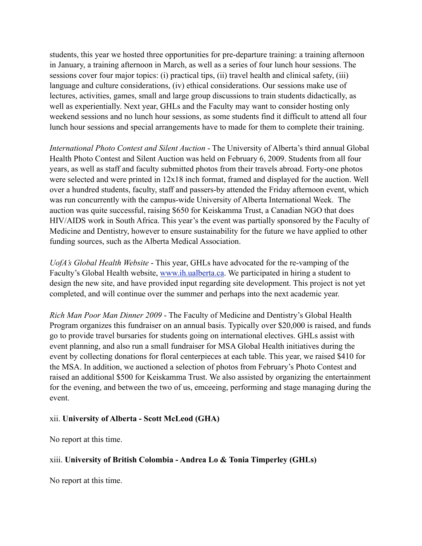students, this year we hosted three opportunities for pre-departure training: a training afternoon in January, a training afternoon in March, as well as a series of four lunch hour sessions. The sessions cover four major topics: (i) practical tips, (ii) travel health and clinical safety, (iii) language and culture considerations, (iv) ethical considerations. Our sessions make use of lectures, activities, games, small and large group discussions to train students didactically, as well as experientially. Next year, GHLs and the Faculty may want to consider hosting only weekend sessions and no lunch hour sessions, as some students find it difficult to attend all four lunch hour sessions and special arrangements have to made for them to complete their training.

*International Photo Contest and Silent Auction* - The University of Alberta's third annual Global Health Photo Contest and Silent Auction was held on February 6, 2009. Students from all four years, as well as staff and faculty submitted photos from their travels abroad. Forty-one photos were selected and were printed in 12x18 inch format, framed and displayed for the auction. Well over a hundred students, faculty, staff and passers-by attended the Friday afternoon event, which was run concurrently with the campus-wide University of Alberta International Week. The auction was quite successful, raising \$650 for Keiskamma Trust, a Canadian NGO that does HIV/AIDS work in South Africa. This year's the event was partially sponsored by the Faculty of Medicine and Dentistry, however to ensure sustainability for the future we have applied to other funding sources, such as the Alberta Medical Association.

*UofA's Global Health Website* - This year, GHLs have advocated for the re-vamping of the Faculty's Global Health website, [www.ih.ualberta.ca](http://www.ih.ualberta.ca). We participated in hiring a student to design the new site, and have provided input regarding site development. This project is not yet completed, and will continue over the summer and perhaps into the next academic year.

*Rich Man Poor Man Dinner 2009* - The Faculty of Medicine and Dentistry's Global Health Program organizes this fundraiser on an annual basis. Typically over \$20,000 is raised, and funds go to provide travel bursaries for students going on international electives. GHLs assist with event planning, and also run a small fundraiser for MSA Global Health initiatives during the event by collecting donations for floral centerpieces at each table. This year, we raised \$410 for the MSA. In addition, we auctioned a selection of photos from February's Photo Contest and raised an additional \$500 for Keiskamma Trust. We also assisted by organizing the entertainment for the evening, and between the two of us, emceeing, performing and stage managing during the event.

#### xii. **University of Alberta - Scott McLeod (GHA)**

No report at this time.

#### xiii. **University of British Colombia - Andrea Lo & Tonia Timperley (GHLs)**

No report at this time.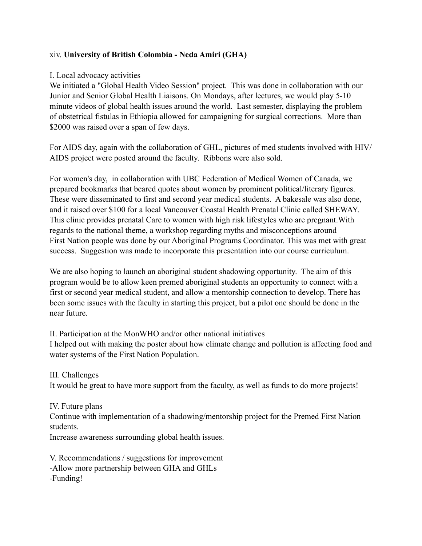#### xiv. **University of British Colombia - Neda Amiri (GHA)**

#### I. Local advocacy activities

We initiated a "Global Health Video Session" project. This was done in collaboration with our Junior and Senior Global Health Liaisons. On Mondays, after lectures, we would play 5-10 minute videos of global health issues around the world. Last semester, displaying the problem of obstetrical fistulas in Ethiopia allowed for campaigning for surgical corrections. More than \$2000 was raised over a span of few days.

For AIDS day, again with the collaboration of GHL, pictures of med students involved with HIV/ AIDS project were posted around the faculty. Ribbons were also sold.

For women's day, in collaboration with UBC Federation of Medical Women of Canada, we prepared bookmarks that beared quotes about women by prominent political/literary figures. These were disseminated to first and second year medical students. A bakesale was also done, and it raised over \$100 for a local Vancouver Coastal Health Prenatal Clinic called SHEWAY. This clinic provides prenatal Care to women with high risk lifestyles who are pregnant.With regards to the national theme, a workshop regarding myths and misconceptions around First Nation people was done by our Aboriginal Programs Coordinator. This was met with great success. Suggestion was made to incorporate this presentation into our course curriculum.

We are also hoping to launch an aboriginal student shadowing opportunity. The aim of this program would be to allow keen premed aboriginal students an opportunity to connect with a first or second year medical student, and allow a mentorship connection to develop. There has been some issues with the faculty in starting this project, but a pilot one should be done in the near future.

II. Participation at the MonWHO and/or other national initiatives

I helped out with making the poster about how climate change and pollution is affecting food and water systems of the First Nation Population.

III. Challenges It would be great to have more support from the faculty, as well as funds to do more projects!

#### IV. Future plans

Continue with implementation of a shadowing/mentorship project for the Premed First Nation students.

Increase awareness surrounding global health issues.

V. Recommendations / suggestions for improvement -Allow more partnership between GHA and GHLs -Funding!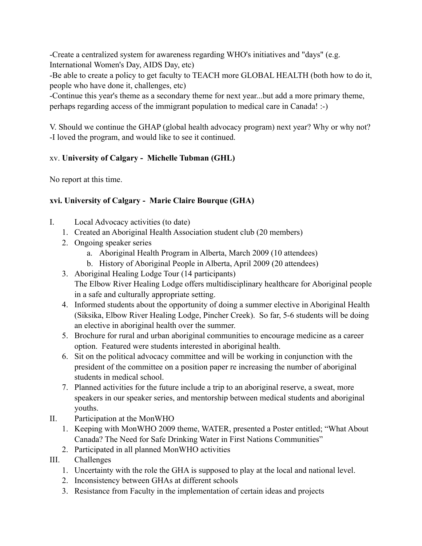-Create a centralized system for awareness regarding WHO's initiatives and "days" (e.g. International Women's Day, AIDS Day, etc)

-Be able to create a policy to get faculty to TEACH more GLOBAL HEALTH (both how to do it, people who have done it, challenges, etc)

-Continue this year's theme as a secondary theme for next year...but add a more primary theme, perhaps regarding access of the immigrant population to medical care in Canada! :-)

V. Should we continue the GHAP (global health advocacy program) next year? Why or why not? -I loved the program, and would like to see it continued.

# xv. **University of Calgary - Michelle Tubman (GHL)**

No report at this time.

# **xvi. University of Calgary - Marie Claire Bourque (GHA)**

- I. Local Advocacy activities (to date)
	- 1. Created an Aboriginal Health Association student club (20 members)
	- 2. Ongoing speaker series
		- a. Aboriginal Health Program in Alberta, March 2009 (10 attendees)
		- b. History of Aboriginal People in Alberta, April 2009 (20 attendees)
	- 3. Aboriginal Healing Lodge Tour (14 participants) The Elbow River Healing Lodge offers multidisciplinary healthcare for Aboriginal people in a safe and culturally appropriate setting.
	- 4. Informed students about the opportunity of doing a summer elective in Aboriginal Health (Siksika, Elbow River Healing Lodge, Pincher Creek). So far, 5-6 students will be doing an elective in aboriginal health over the summer.
	- 5. Brochure for rural and urban aboriginal communities to encourage medicine as a career option. Featured were students interested in aboriginal health.
	- 6. Sit on the political advocacy committee and will be working in conjunction with the president of the committee on a position paper re increasing the number of aboriginal students in medical school.
	- 7. Planned activities for the future include a trip to an aboriginal reserve, a sweat, more speakers in our speaker series, and mentorship between medical students and aboriginal youths.
- II. Participation at the MonWHO
	- 1. Keeping with MonWHO 2009 theme, WATER, presented a Poster entitled; "What About Canada? The Need for Safe Drinking Water in First Nations Communities"
	- 2. Participated in all planned MonWHO activities
- III. Challenges
	- 1. Uncertainty with the role the GHA is supposed to play at the local and national level.
	- 2. Inconsistency between GHAs at different schools
	- 3. Resistance from Faculty in the implementation of certain ideas and projects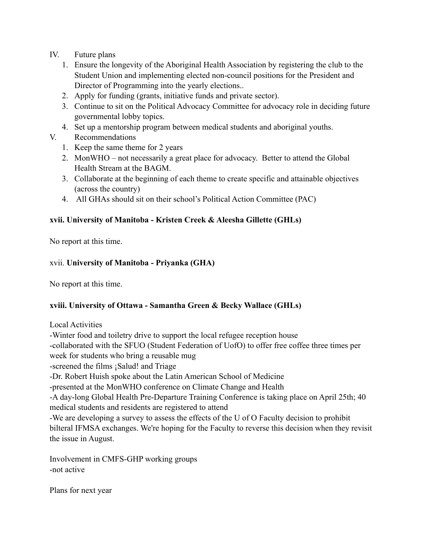- IV. Future plans
	- 1. Ensure the longevity of the Aboriginal Health Association by registering the club to the Student Union and implementing elected non-council positions for the President and Director of Programming into the yearly elections..
	- 2. Apply for funding (grants, initiative funds and private sector).
	- 3. Continue to sit on the Political Advocacy Committee for advocacy role in deciding future governmental lobby topics.
	- 4. Set up a mentorship program between medical students and aboriginal youths.
- V. Recommendations
	- 1. Keep the same theme for 2 years
	- 2. MonWHO not necessarily a great place for advocacy. Better to attend the Global Health Stream at the BAGM.
	- 3. Collaborate at the beginning of each theme to create specific and attainable objectives (across the country)
	- 4. All GHAs should sit on their school's Political Action Committee (PAC)

# **xvii. University of Manitoba - Kristen Creek & Aleesha Gillette (GHLs)**

No report at this time.

# xvii. **University of Manitoba - Priyanka (GHA)**

No report at this time.

#### **xviii. University of Ottawa - Samantha Green & Becky Wallace (GHLs)**

Local Activities

-Winter food and toiletry drive to support the local refugee reception house -collaborated with the SFUO (Student Federation of UofO) to offer free coffee three times per week for students who bring a reusable mug -screened the films ¡Salud! and Triage -Dr. Robert Huish spoke about the Latin American School of Medicine -presented at the MonWHO conference on Climate Change and Health -A day-long Global Health Pre-Departure Training Conference is taking place on April 25th; 40 medical students and residents are registered to attend -We are developing a survey to assess the effects of the U of O Faculty decision to prohibit bilteral IFMSA exchanges. We're hoping for the Faculty to reverse this decision when they revisit the issue in August.

Involvement in CMFS-GHP working groups -not active

Plans for next year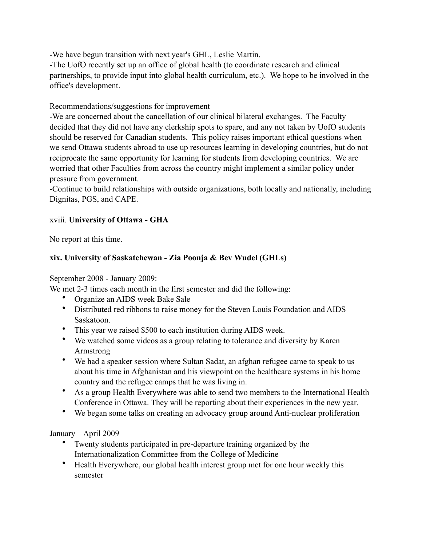-We have begun transition with next year's GHL, Leslie Martin.

-The UofO recently set up an office of global health (to coordinate research and clinical partnerships, to provide input into global health curriculum, etc.). We hope to be involved in the office's development.

# Recommendations/suggestions for improvement

-We are concerned about the cancellation of our clinical bilateral exchanges. The Faculty decided that they did not have any clerkship spots to spare, and any not taken by UofO students should be reserved for Canadian students. This policy raises important ethical questions when we send Ottawa students abroad to use up resources learning in developing countries, but do not reciprocate the same opportunity for learning for students from developing countries. We are worried that other Faculties from across the country might implement a similar policy under pressure from government.

-Continue to build relationships with outside organizations, both locally and nationally, including Dignitas, PGS, and CAPE.

# xviii. **University of Ottawa - GHA**

No report at this time.

# **xix. University of Saskatchewan - Zia Poonja & Bev Wudel (GHLs)**

September 2008 - January 2009:

We met 2-3 times each month in the first semester and did the following:

- Organize an AIDS week Bake Sale
- Distributed red ribbons to raise money for the Steven Louis Foundation and AIDS Saskatoon.
- This year we raised \$500 to each institution during AIDS week.
- We watched some videos as a group relating to tolerance and diversity by Karen Armstrong
- We had a speaker session where Sultan Sadat, an afghan refugee came to speak to us about his time in Afghanistan and his viewpoint on the healthcare systems in his home country and the refugee camps that he was living in.
- As a group Health Everywhere was able to send two members to the International Health Conference in Ottawa. They will be reporting about their experiences in the new year.
- We began some talks on creating an advocacy group around Anti-nuclear proliferation

# January – April 2009

- Twenty students participated in pre-departure training organized by the Internationalization Committee from the College of Medicine
- Health Everywhere, our global health interest group met for one hour weekly this semester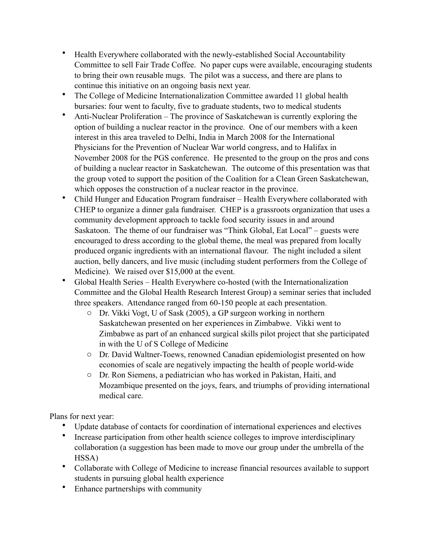- Health Everywhere collaborated with the newly-established Social Accountability Committee to sell Fair Trade Coffee. No paper cups were available, encouraging students to bring their own reusable mugs. The pilot was a success, and there are plans to continue this initiative on an ongoing basis next year.
- The College of Medicine Internationalization Committee awarded 11 global health bursaries: four went to faculty, five to graduate students, two to medical students
- Anti-Nuclear Proliferation The province of Saskatchewan is currently exploring the option of building a nuclear reactor in the province. One of our members with a keen interest in this area traveled to Delhi, India in March 2008 for the International Physicians for the Prevention of Nuclear War world congress, and to Halifax in November 2008 for the PGS conference. He presented to the group on the pros and cons of building a nuclear reactor in Saskatchewan. The outcome of this presentation was that the group voted to support the position of the Coalition for a Clean Green Saskatchewan, which opposes the construction of a nuclear reactor in the province.
- Child Hunger and Education Program fundraiser Health Everywhere collaborated with CHEP to organize a dinner gala fundraiser. CHEP is a grassroots organization that uses a community development approach to tackle food security issues in and around Saskatoon. The theme of our fundraiser was "Think Global, Eat Local" – guests were encouraged to dress according to the global theme, the meal was prepared from locally produced organic ingredients with an international flavour. The night included a silent auction, belly dancers, and live music (including student performers from the College of Medicine). We raised over \$15,000 at the event.
- Global Health Series Health Everywhere co-hosted (with the Internationalization Committee and the Global Health Research Interest Group) a seminar series that included three speakers. Attendance ranged from 60-150 people at each presentation.
	- o Dr. Vikki Vogt, U of Sask (2005), a GP surgeon working in northern Saskatchewan presented on her experiences in Zimbabwe. Vikki went to Zimbabwe as part of an enhanced surgical skills pilot project that she participated in with the U of S College of Medicine
	- o Dr. David Waltner-Toews, renowned Canadian epidemiologist presented on how economies of scale are negatively impacting the health of people world-wide
	- o Dr. Ron Siemens, a pediatrician who has worked in Pakistan, Haiti, and Mozambique presented on the joys, fears, and triumphs of providing international medical care.

Plans for next year:

- Update database of contacts for coordination of international experiences and electives
- Increase participation from other health science colleges to improve interdisciplinary collaboration (a suggestion has been made to move our group under the umbrella of the HSSA)
- Collaborate with College of Medicine to increase financial resources available to support students in pursuing global health experience
- Enhance partnerships with community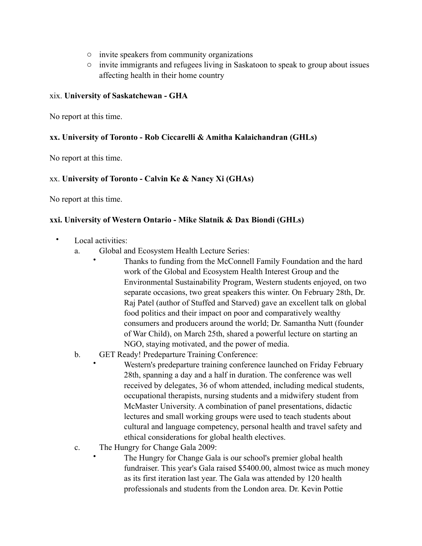- o invite speakers from community organizations
- o invite immigrants and refugees living in Saskatoon to speak to group about issues affecting health in their home country

#### xix. **University of Saskatchewan - GHA**

No report at this time.

#### **xx. University of Toronto - Rob Ciccarelli & Amitha Kalaichandran (GHLs)**

No report at this time.

#### xx. **University of Toronto - Calvin Ke & Nancy Xi (GHAs)**

No report at this time.

#### **xxi. University of Western Ontario - Mike Slatnik & Dax Biondi (GHLs)**

- Local activities:
	- a. Global and Ecosystem Health Lecture Series:
		- Thanks to funding from the McConnell Family Foundation and the hard work of the Global and Ecosystem Health Interest Group and the Environmental Sustainability Program, Western students enjoyed, on two separate occasions, two great speakers this winter. On February 28th, Dr. Raj Patel (author of Stuffed and Starved) gave an excellent talk on global food politics and their impact on poor and comparatively wealthy consumers and producers around the world; Dr. Samantha Nutt (founder of War Child), on March 25th, shared a powerful lecture on starting an NGO, staying motivated, and the power of media.
	- b. GET Ready! Predeparture Training Conference:
		- Western's predeparture training conference launched on Friday February 28th, spanning a day and a half in duration. The conference was well received by delegates, 36 of whom attended, including medical students, occupational therapists, nursing students and a midwifery student from McMaster University. A combination of panel presentations, didactic lectures and small working groups were used to teach students about cultural and language competency, personal health and travel safety and ethical considerations for global health electives.
	- c. The Hungry for Change Gala 2009:
		- The Hungry for Change Gala is our school's premier global health fundraiser. This year's Gala raised \$5400.00, almost twice as much money as its first iteration last year. The Gala was attended by 120 health professionals and students from the London area. Dr. Kevin Pottie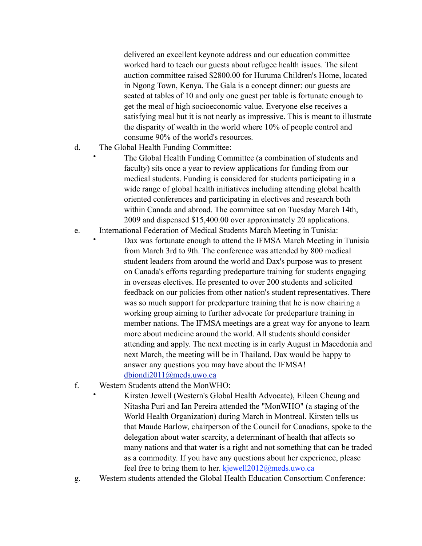delivered an excellent keynote address and our education committee worked hard to teach our guests about refugee health issues. The silent auction committee raised \$2800.00 for Huruma Children's Home, located in Ngong Town, Kenya. The Gala is a concept dinner: our guests are seated at tables of 10 and only one guest per table is fortunate enough to get the meal of high socioeconomic value. Everyone else receives a satisfying meal but it is not nearly as impressive. This is meant to illustrate the disparity of wealth in the world where 10% of people control and consume 90% of the world's resources.

d. The Global Health Funding Committee:

• The Global Health Funding Committee (a combination of students and faculty) sits once a year to review applications for funding from our medical students. Funding is considered for students participating in a wide range of global health initiatives including attending global health oriented conferences and participating in electives and research both within Canada and abroad. The committee sat on Tuesday March 14th, 2009 and dispensed \$15,400.00 over approximately 20 applications.

- e. International Federation of Medical Students March Meeting in Tunisia:
	- Dax was fortunate enough to attend the IFMSA March Meeting in Tunisia from March 3rd to 9th. The conference was attended by 800 medical student leaders from around the world and Dax's purpose was to present on Canada's efforts regarding predeparture training for students engaging in overseas electives. He presented to over 200 students and solicited feedback on our policies from other nation's student representatives. There was so much support for predeparture training that he is now chairing a working group aiming to further advocate for predeparture training in member nations. The IFMSA meetings are a great way for anyone to learn more about medicine around the world. All students should consider attending and apply. The next meeting is in early August in Macedonia and next March, the meeting will be in Thailand. Dax would be happy to answer any questions you may have about the IFMSA! [dbiondi2011@meds.uwo.ca](mailto:dbiondi2011@meds.uwo.ca)
- f. Western Students attend the MonWHO:

• Kirsten Jewell (Western's Global Health Advocate), Eileen Cheung and Nitasha Puri and Ian Pereira attended the "MonWHO" (a staging of the World Health Organization) during March in Montreal. Kirsten tells us that Maude Barlow, chairperson of the Council for Canadians, spoke to the delegation about water scarcity, a determinant of health that affects so many nations and that water is a right and not something that can be traded as a commodity. If you have any questions about her experience, please feel free to bring them to her. [kjewell2012@meds.uwo.ca](mailto:kjewell2012@meds.uwo.ca)

g. Western students attended the Global Health Education Consortium Conference: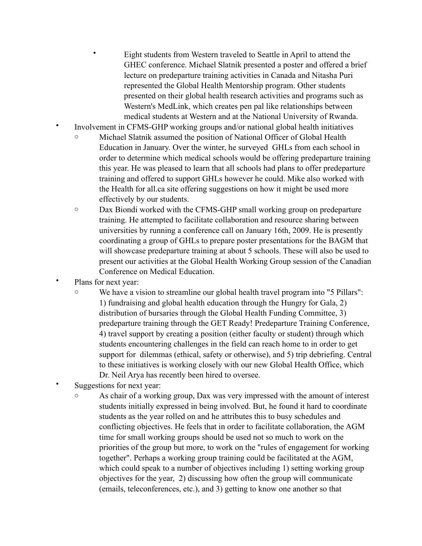• Eight students from Western traveled to Seattle in April to attend the GHEC conference. Michael Slatnik presented a poster and offered a brief lecture on predeparture training activities in Canada and Nitasha Puri represented the Global Health Mentorship program. Other students presented on their global health research activities and programs such as Western's MedLink, which creates pen pal like relationships between medical students at Western and at the National University of Rwanda.

- Involvement in CFMS-GHP working groups and/or national global health initiatives
	- o Michael Slatnik assumed the position of National Officer of Global Health Education in January. Over the winter, he surveyed GHLs from each school in order to determine which medical schools would be offering predeparture training this year. He was pleased to learn that all schools had plans to offer predeparture training and offered to support GHLs however he could. Mike also worked with the Health for all.ca site offering suggestions on how it might be used more effectively by our students.
	- o Dax Biondi worked with the CFMS-GHP small working group on predeparture training. He attempted to facilitate collaboration and resource sharing between universities by running a conference call on January 16th, 2009. He is presently coordinating a group of GHLs to prepare poster presentations for the BAGM that will showcase predeparture training at about 5 schools. These will also be used to present our activities at the Global Health Working Group session of the Canadian Conference on Medical Education.
- Plans for next year:
	- o We have a vision to streamline our global health travel program into "5 Pillars": 1) fundraising and global health education through the Hungry for Gala, 2) distribution of bursaries through the Global Health Funding Committee, 3) predeparture training through the GET Ready! Predeparture Training Conference, 4) travel support by creating a position (either faculty or student) through which students encountering challenges in the field can reach home to in order to get support for dilemmas (ethical, safety or otherwise), and 5) trip debriefing. Central to these initiatives is working closely with our new Global Health Office, which Dr. Neil Arya has recently been hired to oversee.
- Suggestions for next year:
	- o As chair of a working group, Dax was very impressed with the amount of interest students initially expressed in being involved. But, he found it hard to coordinate students as the year rolled on and he attributes this to busy schedules and conflicting objectives. He feels that in order to facilitate collaboration, the AGM time for small working groups should be used not so much to work on the priorities of the group but more, to work on the "rules of engagement for working together". Perhaps a working group training could be facilitated at the AGM, which could speak to a number of objectives including 1) setting working group objectives for the year, 2) discussing how often the group will communicate (emails, teleconferences, etc.), and 3) getting to know one another so that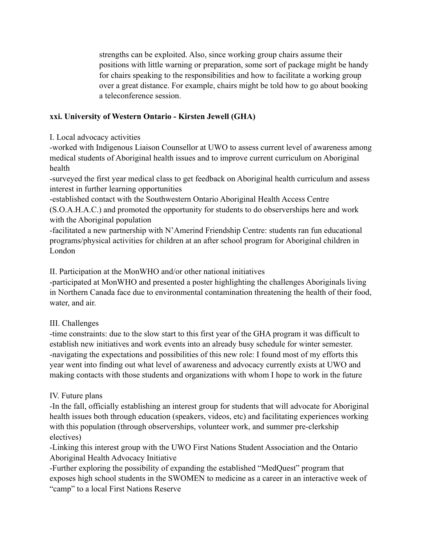strengths can be exploited. Also, since working group chairs assume their positions with little warning or preparation, some sort of package might be handy for chairs speaking to the responsibilities and how to facilitate a working group over a great distance. For example, chairs might be told how to go about booking a teleconference session.

# **xxi. University of Western Ontario - Kirsten Jewell (GHA)**

I. Local advocacy activities

-worked with Indigenous Liaison Counsellor at UWO to assess current level of awareness among medical students of Aboriginal health issues and to improve current curriculum on Aboriginal health

-surveyed the first year medical class to get feedback on Aboriginal health curriculum and assess interest in further learning opportunities

-established contact with the Southwestern Ontario Aboriginal Health Access Centre (S.O.A.H.A.C.) and promoted the opportunity for students to do observerships here and work with the Aboriginal population

-facilitated a new partnership with N'Amerind Friendship Centre: students ran fun educational programs/physical activities for children at an after school program for Aboriginal children in London

II. Participation at the MonWHO and/or other national initiatives

-participated at MonWHO and presented a poster highlighting the challenges Aboriginals living in Northern Canada face due to environmental contamination threatening the health of their food, water, and air.

# III. Challenges

-time constraints: due to the slow start to this first year of the GHA program it was difficult to establish new initiatives and work events into an already busy schedule for winter semester. -navigating the expectations and possibilities of this new role: I found most of my efforts this year went into finding out what level of awareness and advocacy currently exists at UWO and making contacts with those students and organizations with whom I hope to work in the future

# IV. Future plans

-In the fall, officially establishing an interest group for students that will advocate for Aboriginal health issues both through education (speakers, videos, etc) and facilitating experiences working with this population (through observerships, volunteer work, and summer pre-clerkship electives)

-Linking this interest group with the UWO First Nations Student Association and the Ontario Aboriginal Health Advocacy Initiative

-Further exploring the possibility of expanding the established "MedQuest" program that exposes high school students in the SWOMEN to medicine as a career in an interactive week of "camp" to a local First Nations Reserve